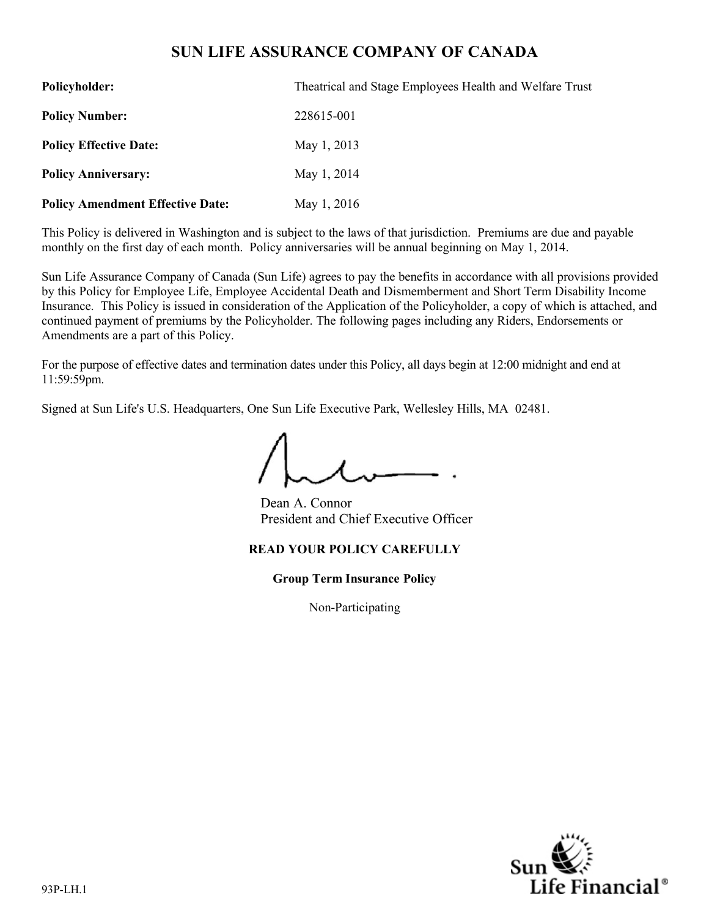# **SUN LIFE ASSURANCE COMPANY OF CANADA**

| <b>Policyholder:</b>                    | Theatrical and Stage Employees Health and Welfare Trust |  |
|-----------------------------------------|---------------------------------------------------------|--|
| <b>Policy Number:</b>                   | 228615-001                                              |  |
| <b>Policy Effective Date:</b>           | May 1, 2013                                             |  |
| <b>Policy Anniversary:</b>              | May 1, 2014                                             |  |
| <b>Policy Amendment Effective Date:</b> | May 1, 2016                                             |  |

This Policy is delivered in Washington and is subject to the laws of that jurisdiction. Premiums are due and payable monthly on the first day of each month. Policy anniversaries will be annual beginning on May 1, 2014.

Sun Life Assurance Company of Canada (Sun Life) agrees to pay the benefits in accordance with all provisions provided by this Policy for Employee Life, Employee Accidental Death and Dismemberment and Short Term Disability Income Insurance. This Policy is issued in consideration of the Application of the Policyholder, a copy of which is attached, and continued payment of premiums by the Policyholder. The following pages including any Riders, Endorsements or Amendments are a part of this Policy.

For the purpose of effective dates and termination dates under this Policy, all days begin at 12:00 midnight and end at 11:59:59pm.

Signed at Sun Life's U.S. Headquarters, One Sun Life Executive Park, Wellesley Hills, MA 02481.

Dean A. Connor President and Chief Executive Officer

# **READ YOUR POLICY CAREFULLY**

**Group Term Insurance Policy**

Non-Participating

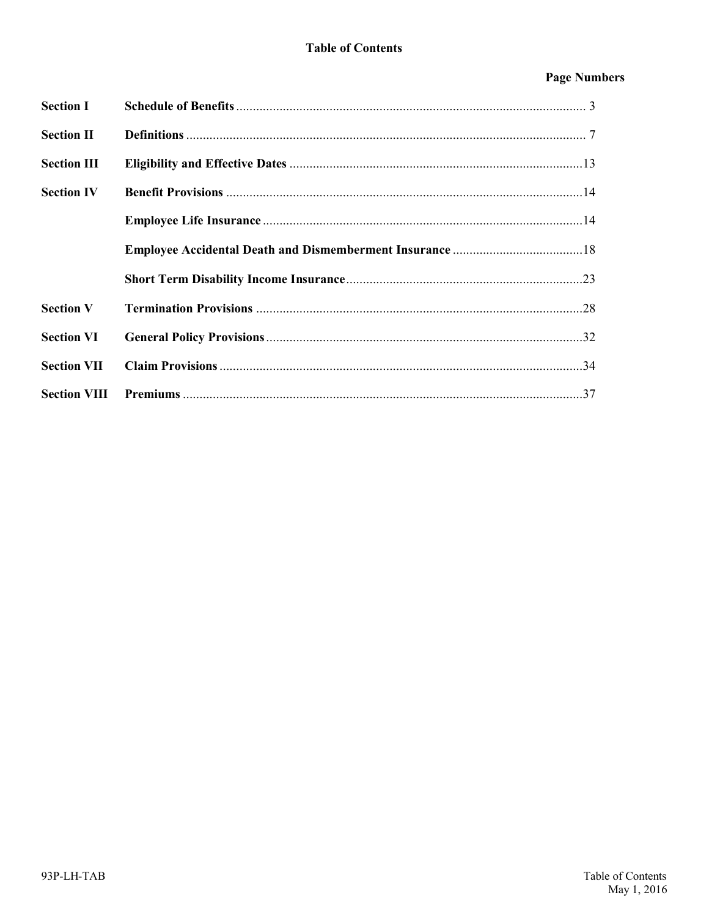# **Page Numbers**

| <b>Section I</b>    |  |
|---------------------|--|
| <b>Section II</b>   |  |
| <b>Section III</b>  |  |
| <b>Section IV</b>   |  |
|                     |  |
|                     |  |
|                     |  |
| <b>Section V</b>    |  |
| <b>Section VI</b>   |  |
| <b>Section VII</b>  |  |
| <b>Section VIII</b> |  |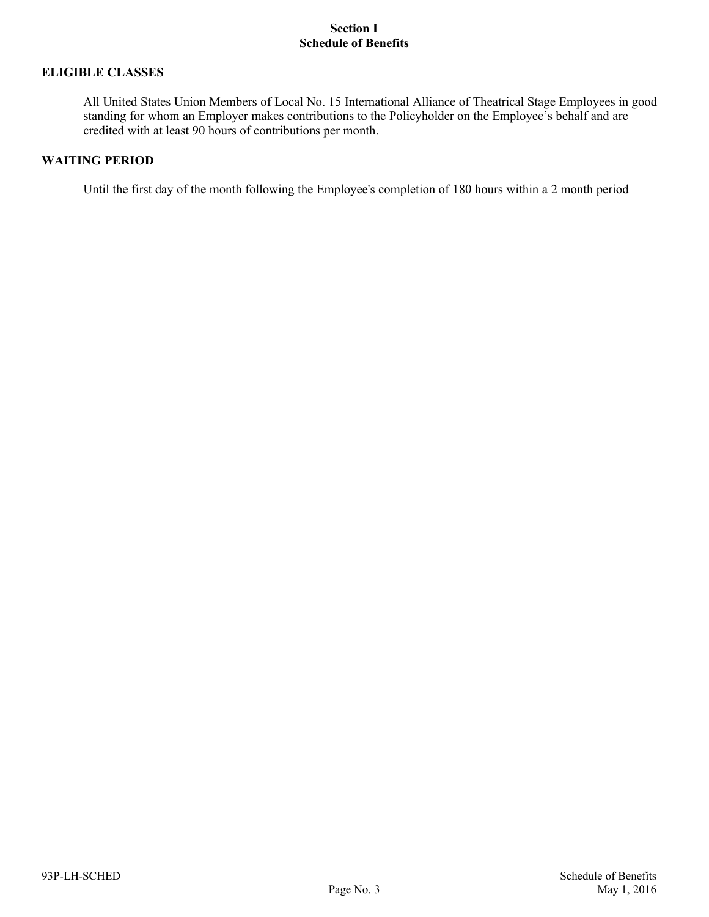# **ELIGIBLE CLASSES**

All United States Union Members of Local No. 15 International Alliance of Theatrical Stage Employees in good standing for whom an Employer makes contributions to the Policyholder on the Employee's behalf and are credited with at least 90 hours of contributions per month.

# **WAITING PERIOD**

Until the first day of the month following the Employee's completion of 180 hours within a 2 month period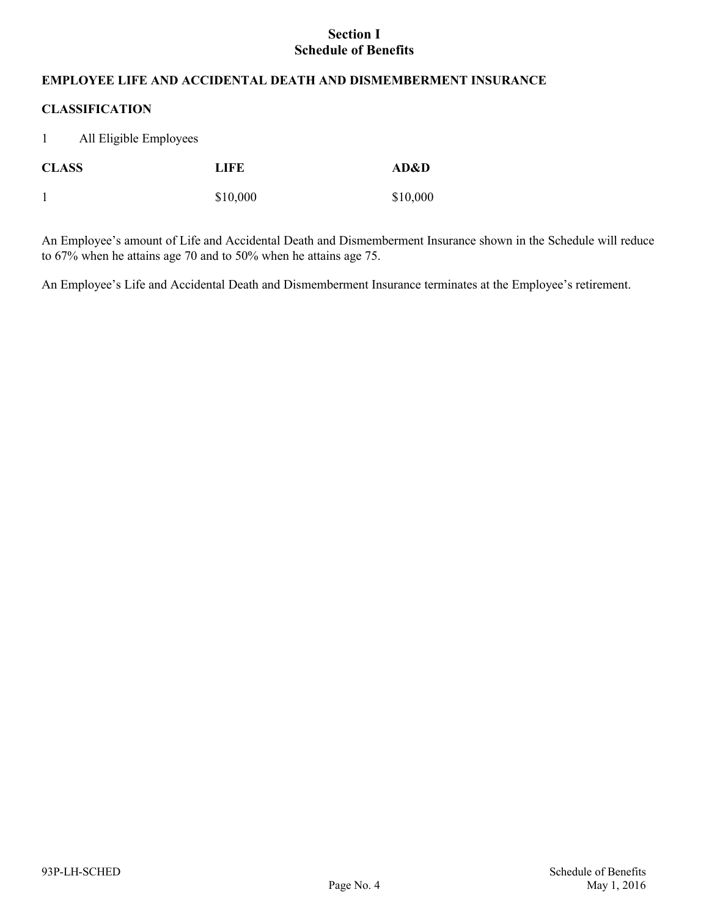# **EMPLOYEE LIFE AND ACCIDENTAL DEATH AND DISMEMBERMENT INSURANCE**

# **CLASSIFICATION**

1 All Eligible Employees

| <b>CLASS</b> | LIFE     | AD&D     |
|--------------|----------|----------|
|              | \$10,000 | \$10,000 |

An Employee's amount of Life and Accidental Death and Dismemberment Insurance shown in the Schedule will reduce to 67% when he attains age 70 and to 50% when he attains age 75.

An Employee's Life and Accidental Death and Dismemberment Insurance terminates at the Employee's retirement.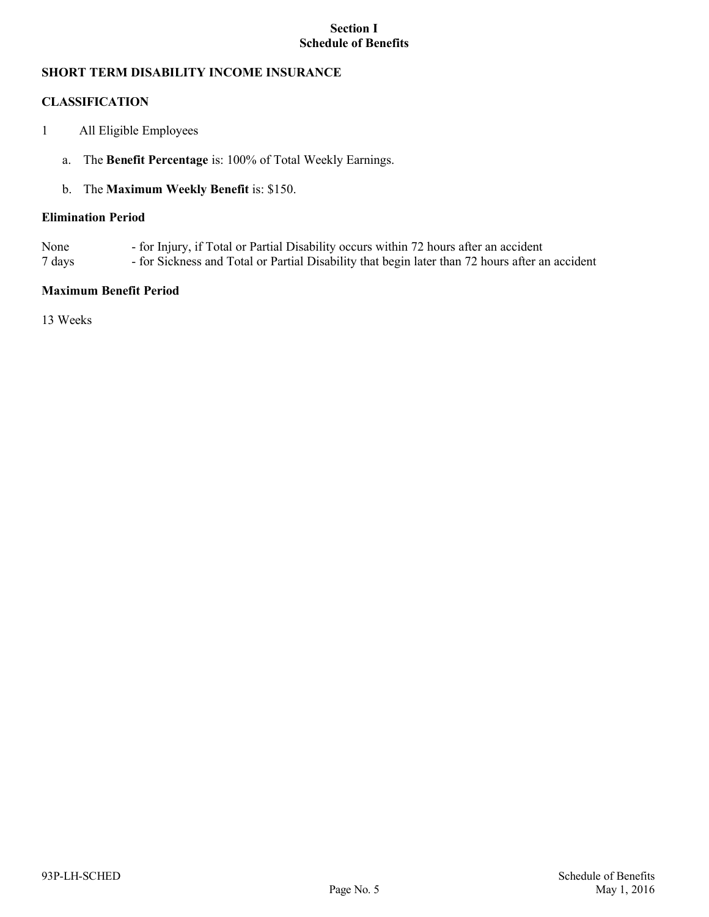# **SHORT TERM DISABILITY INCOME INSURANCE**

# **CLASSIFICATION**

- 1 All Eligible Employees
	- a. The **Benefit Percentage** is: 100% of Total Weekly Earnings.

# b. The **Maximum Weekly Benefit** is: \$150.

#### **Elimination Period**

- None for Injury, if Total or Partial Disability occurs within 72 hours after an accident
- 7 days for Sickness and Total or Partial Disability that begin later than 72 hours after an accident

# **Maximum Benefit Period**

13 Weeks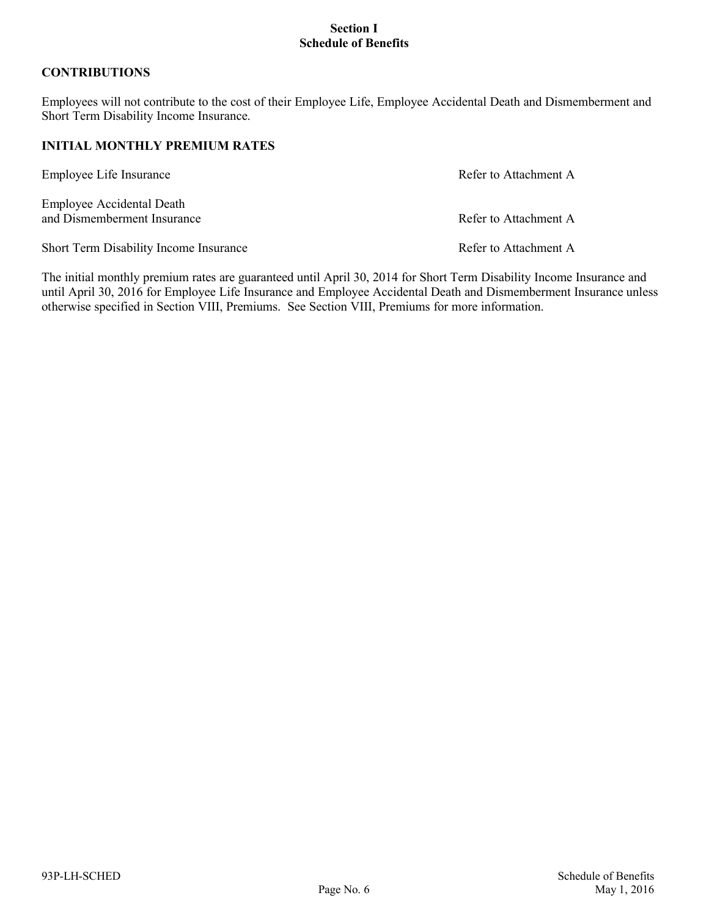# **CONTRIBUTIONS**

Employees will not contribute to the cost of their Employee Life, Employee Accidental Death and Dismemberment and Short Term Disability Income Insurance.

# **INITIAL MONTHLY PREMIUM RATES**

| Employee Life Insurance                                         | Refer to Attachment A |
|-----------------------------------------------------------------|-----------------------|
| <b>Employee Accidental Death</b><br>and Dismemberment Insurance | Refer to Attachment A |
| Short Term Disability Income Insurance                          | Refer to Attachment A |

The initial monthly premium rates are guaranteed until April 30, 2014 for Short Term Disability Income Insurance and until April 30, 2016 for Employee Life Insurance and Employee Accidental Death and Dismemberment Insurance unless otherwise specified in Section VIII, Premiums. See Section VIII, Premiums for more information.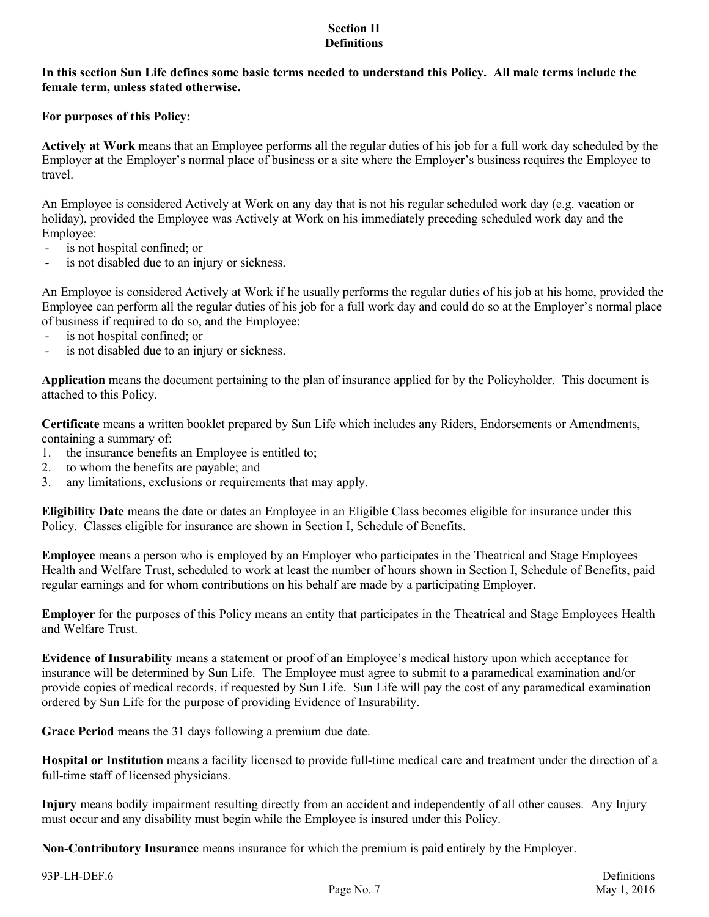**In this section Sun Life defines some basic terms needed to understand this Policy. All male terms include the female term, unless stated otherwise.**

# **For purposes of this Policy:**

**Actively at Work** means that an Employee performs all the regular duties of his job for a full work day scheduled by the Employer at the Employer's normal place of business or a site where the Employer's business requires the Employee to travel.

An Employee is considered Actively at Work on any day that is not his regular scheduled work day (e.g. vacation or holiday), provided the Employee was Actively at Work on his immediately preceding scheduled work day and the Employee:

- is not hospital confined; or
- is not disabled due to an injury or sickness.

An Employee is considered Actively at Work if he usually performs the regular duties of his job at his home, provided the Employee can perform all the regular duties of his job for a full work day and could do so at the Employer's normal place of business if required to do so, and the Employee:

- is not hospital confined; or
- is not disabled due to an injury or sickness.

**Application** means the document pertaining to the plan of insurance applied for by the Policyholder. This document is attached to this Policy.

**Certificate** means a written booklet prepared by Sun Life which includes any Riders, Endorsements or Amendments, containing a summary of:

- 1. the insurance benefits an Employee is entitled to;
- 2. to whom the benefits are payable; and
- 3. any limitations, exclusions or requirements that may apply.

**Eligibility Date** means the date or dates an Employee in an Eligible Class becomes eligible for insurance under this Policy. Classes eligible for insurance are shown in Section I, Schedule of Benefits.

**Employee** means a person who is employed by an Employer who participates in the Theatrical and Stage Employees Health and Welfare Trust, scheduled to work at least the number of hours shown in Section I, Schedule of Benefits, paid regular earnings and for whom contributions on his behalf are made by a participating Employer.

**Employer** for the purposes of this Policy means an entity that participates in the Theatrical and Stage Employees Health and Welfare Trust.

**Evidence of Insurability** means a statement or proof of an Employee's medical history upon which acceptance for insurance will be determined by Sun Life. The Employee must agree to submit to a paramedical examination and/or provide copies of medical records, if requested by Sun Life. Sun Life will pay the cost of any paramedical examination ordered by Sun Life for the purpose of providing Evidence of Insurability.

**Grace Period** means the 31 days following a premium due date.

**Hospital or Institution** means a facility licensed to provide full-time medical care and treatment under the direction of a full-time staff of licensed physicians.

**Injury** means bodily impairment resulting directly from an accident and independently of all other causes. Any Injury must occur and any disability must begin while the Employee is insured under this Policy.

**Non-Contributory Insurance** means insurance for which the premium is paid entirely by the Employer.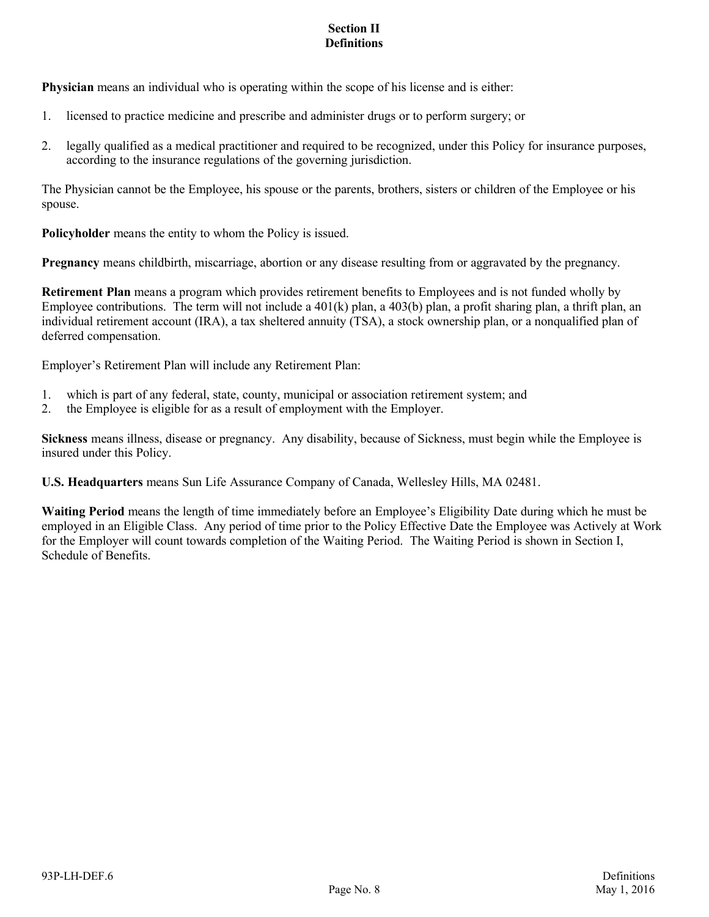**Physician** means an individual who is operating within the scope of his license and is either:

- 1. licensed to practice medicine and prescribe and administer drugs or to perform surgery; or
- 2. legally qualified as a medical practitioner and required to be recognized, under this Policy for insurance purposes, according to the insurance regulations of the governing jurisdiction.

The Physician cannot be the Employee, his spouse or the parents, brothers, sisters or children of the Employee or his spouse.

**Policyholder** means the entity to whom the Policy is issued.

**Pregnancy** means childbirth, miscarriage, abortion or any disease resulting from or aggravated by the pregnancy.

**Retirement Plan** means a program which provides retirement benefits to Employees and is not funded wholly by Employee contributions. The term will not include a  $401(k)$  plan, a  $403(b)$  plan, a profit sharing plan, a thrift plan, an individual retirement account (IRA), a tax sheltered annuity (TSA), a stock ownership plan, or a nonqualified plan of deferred compensation.

Employer's Retirement Plan will include any Retirement Plan:

- 1. which is part of any federal, state, county, municipal or association retirement system; and
- 2. the Employee is eligible for as a result of employment with the Employer.

**Sickness** means illness, disease or pregnancy. Any disability, because of Sickness, must begin while the Employee is insured under this Policy.

**U.S. Headquarters** means Sun Life Assurance Company of Canada, Wellesley Hills, MA 02481.

**Waiting Period** means the length of time immediately before an Employee's Eligibility Date during which he must be employed in an Eligible Class. Any period of time prior to the Policy Effective Date the Employee was Actively at Work for the Employer will count towards completion of the Waiting Period. The Waiting Period is shown in Section I, Schedule of Benefits.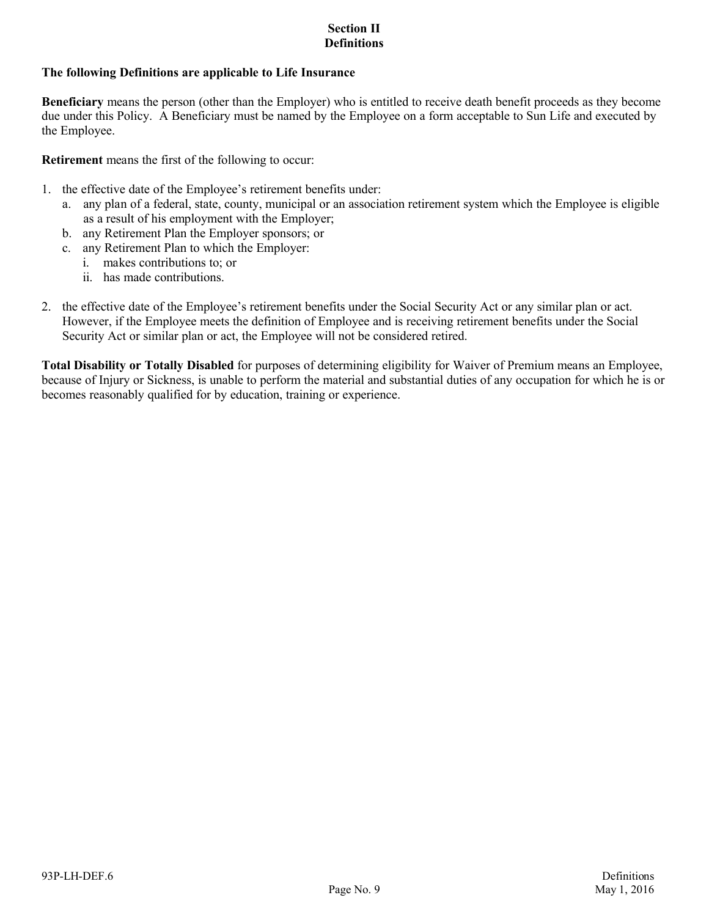# **The following Definitions are applicable to Life Insurance**

**Beneficiary** means the person (other than the Employer) who is entitled to receive death benefit proceeds as they become due under this Policy. A Beneficiary must be named by the Employee on a form acceptable to Sun Life and executed by the Employee.

**Retirement** means the first of the following to occur:

- 1. the effective date of the Employee's retirement benefits under:
	- a. any plan of a federal, state, county, municipal or an association retirement system which the Employee is eligible as a result of his employment with the Employer;
	- b. any Retirement Plan the Employer sponsors; or
	- c. any Retirement Plan to which the Employer:
		- i. makes contributions to; or
		- ii. has made contributions.
- 2. the effective date of the Employee's retirement benefits under the Social Security Act or any similar plan or act. However, if the Employee meets the definition of Employee and is receiving retirement benefits under the Social Security Act or similar plan or act, the Employee will not be considered retired.

**Total Disability or Totally Disabled** for purposes of determining eligibility for Waiver of Premium means an Employee, because of Injury or Sickness, is unable to perform the material and substantial duties of any occupation for which he is or becomes reasonably qualified for by education, training or experience.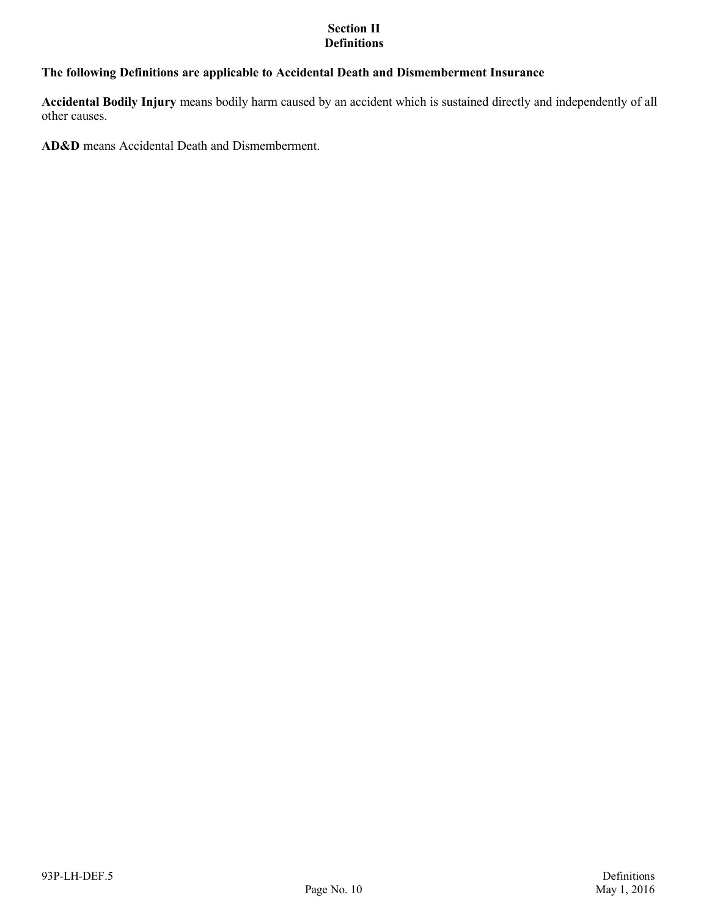# **The following Definitions are applicable to Accidental Death and Dismemberment Insurance**

**Accidental Bodily Injury** means bodily harm caused by an accident which is sustained directly and independently of all other causes.

**AD&D** means Accidental Death and Dismemberment.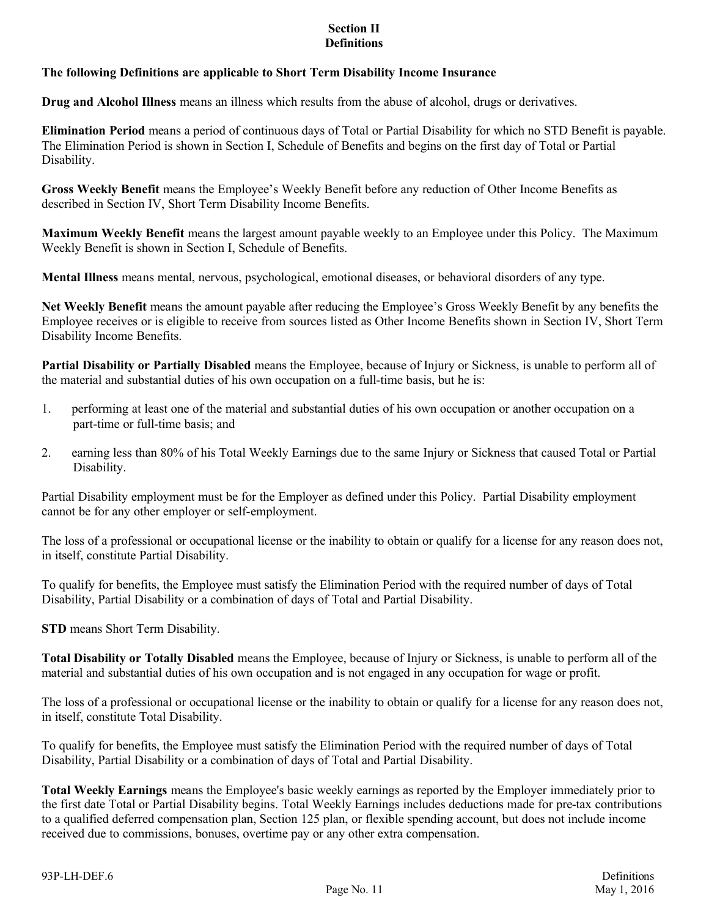# **The following Definitions are applicable to Short Term Disability Income Insurance**

**Drug and Alcohol Illness** means an illness which results from the abuse of alcohol, drugs or derivatives.

**Elimination Period** means a period of continuous days of Total or Partial Disability for which no STD Benefit is payable. The Elimination Period is shown in Section I, Schedule of Benefits and begins on the first day of Total or Partial Disability.

**Gross Weekly Benefit** means the Employee's Weekly Benefit before any reduction of Other Income Benefits as described in Section IV, Short Term Disability Income Benefits.

**Maximum Weekly Benefit** means the largest amount payable weekly to an Employee under this Policy. The Maximum Weekly Benefit is shown in Section I, Schedule of Benefits.

**Mental Illness** means mental, nervous, psychological, emotional diseases, or behavioral disorders of any type.

**Net Weekly Benefit** means the amount payable after reducing the Employee's Gross Weekly Benefit by any benefits the Employee receives or is eligible to receive from sources listed as Other Income Benefits shown in Section IV, Short Term Disability Income Benefits.

**Partial Disability or Partially Disabled** means the Employee, because of Injury or Sickness, is unable to perform all of the material and substantial duties of his own occupation on a full-time basis, but he is:

- 1. performing at least one of the material and substantial duties of his own occupation or another occupation on a part-time or full-time basis; and
- 2. earning less than 80% of his Total Weekly Earnings due to the same Injury or Sickness that caused Total or Partial Disability.

Partial Disability employment must be for the Employer as defined under this Policy. Partial Disability employment cannot be for any other employer or self-employment.

The loss of a professional or occupational license or the inability to obtain or qualify for a license for any reason does not, in itself, constitute Partial Disability.

To qualify for benefits, the Employee must satisfy the Elimination Period with the required number of days of Total Disability, Partial Disability or a combination of days of Total and Partial Disability.

**STD** means Short Term Disability.

**Total Disability or Totally Disabled** means the Employee, because of Injury or Sickness, is unable to perform all of the material and substantial duties of his own occupation and is not engaged in any occupation for wage or profit.

The loss of a professional or occupational license or the inability to obtain or qualify for a license for any reason does not, in itself, constitute Total Disability.

To qualify for benefits, the Employee must satisfy the Elimination Period with the required number of days of Total Disability, Partial Disability or a combination of days of Total and Partial Disability.

**Total Weekly Earnings** means the Employee's basic weekly earnings as reported by the Employer immediately prior to the first date Total or Partial Disability begins. Total Weekly Earnings includes deductions made for pre-tax contributions to a qualified deferred compensation plan, Section 125 plan, or flexible spending account, but does not include income received due to commissions, bonuses, overtime pay or any other extra compensation.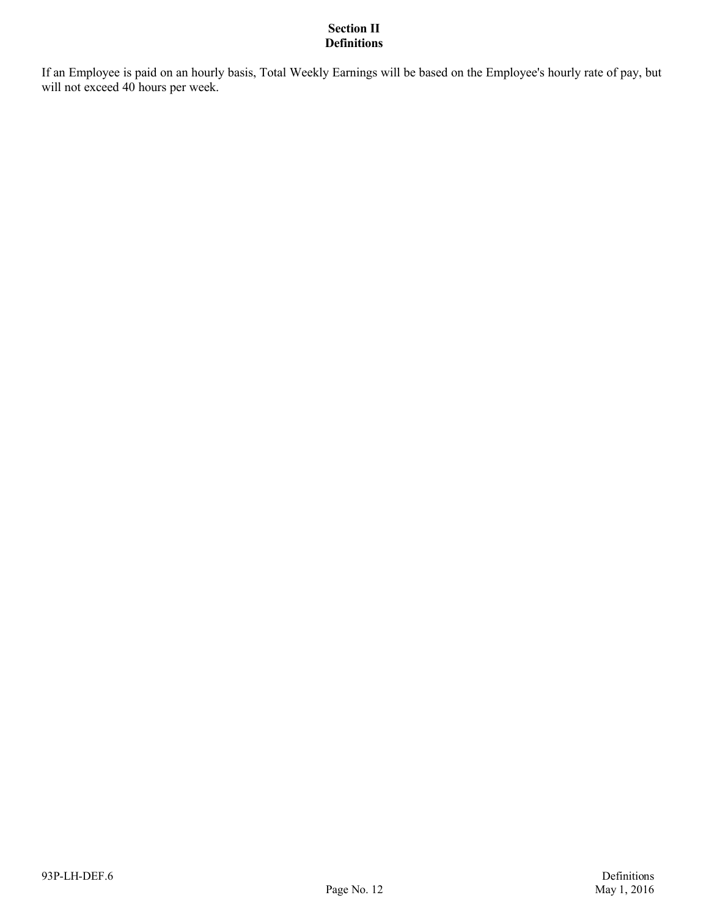If an Employee is paid on an hourly basis, Total Weekly Earnings will be based on the Employee's hourly rate of pay, but will not exceed 40 hours per week.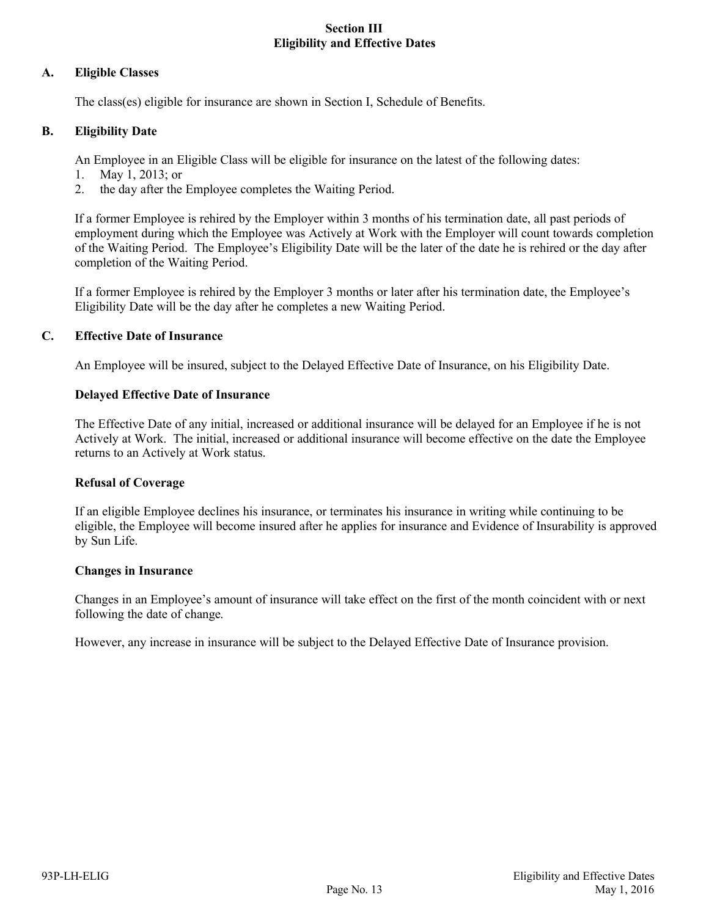# **Section III Eligibility and Effective Dates**

### **A. Eligible Classes**

The class(es) eligible for insurance are shown in Section I, Schedule of Benefits.

# **B. Eligibility Date**

An Employee in an Eligible Class will be eligible for insurance on the latest of the following dates:

- 1. May 1, 2013; or
- 2. the day after the Employee completes the Waiting Period.

If a former Employee is rehired by the Employer within 3 months of his termination date, all past periods of employment during which the Employee was Actively at Work with the Employer will count towards completion of the Waiting Period. The Employee's Eligibility Date will be the later of the date he is rehired or the day after completion of the Waiting Period.

If a former Employee is rehired by the Employer 3 months or later after his termination date, the Employee's Eligibility Date will be the day after he completes a new Waiting Period.

### **C. Effective Date of Insurance**

An Employee will be insured, subject to the Delayed Effective Date of Insurance, on his Eligibility Date.

### **Delayed Effective Date of Insurance**

The Effective Date of any initial, increased or additional insurance will be delayed for an Employee if he is not Actively at Work. The initial, increased or additional insurance will become effective on the date the Employee returns to an Actively at Work status.

### **Refusal of Coverage**

If an eligible Employee declines his insurance, or terminates his insurance in writing while continuing to be eligible, the Employee will become insured after he applies for insurance and Evidence of Insurability is approved by Sun Life.

### **Changes in Insurance**

Changes in an Employee's amount of insurance will take effect on the first of the month coincident with or next following the date of change.

However, any increase in insurance will be subject to the Delayed Effective Date of Insurance provision.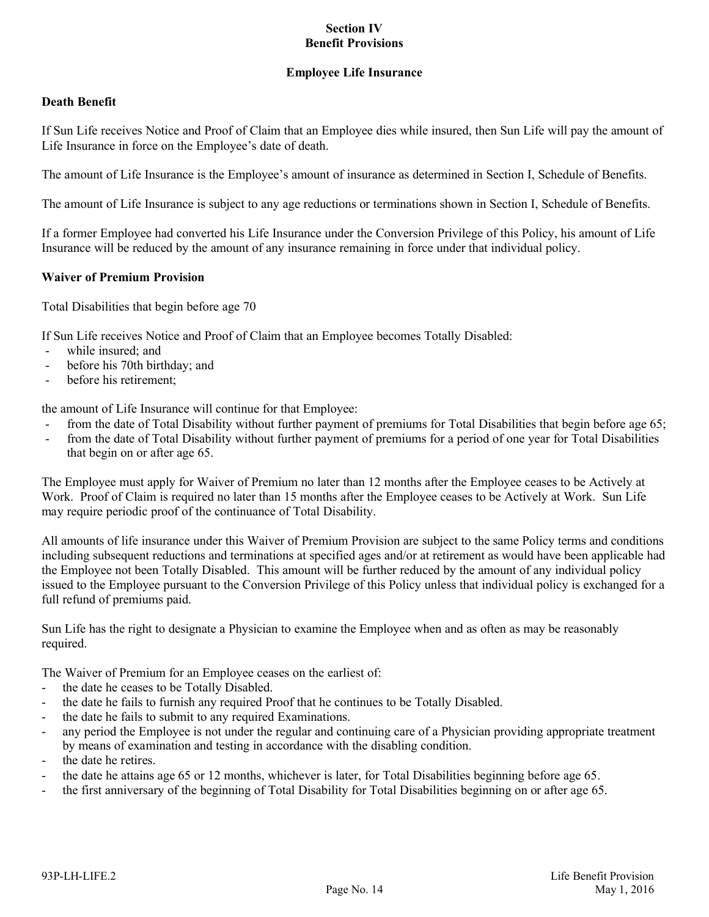# **Employee Life Insurance**

# **Death Benefit**

If Sun Life receives Notice and Proof of Claim that an Employee dies while insured, then Sun Life will pay the amount of Life Insurance in force on the Employee's date of death.

The amount of Life Insurance is the Employee's amount of insurance as determined in Section I, Schedule of Benefits.

The amount of Life Insurance is subject to any age reductions or terminations shown in Section I, Schedule of Benefits.

If a former Employee had converted his Life Insurance under the Conversion Privilege of this Policy, his amount of Life Insurance will be reduced by the amount of any insurance remaining in force under that individual policy.

### **Waiver of Premium Provision**

Total Disabilities that begin before age 70

If Sun Life receives Notice and Proof of Claim that an Employee becomes Totally Disabled:

- while insured; and
- before his 70th birthday; and
- before his retirement:

the amount of Life Insurance will continue for that Employee:

- from the date of Total Disability without further payment of premiums for Total Disabilities that begin before age 65;
- from the date of Total Disability without further payment of premiums for a period of one year for Total Disabilities that begin on or after age 65.

The Employee must apply for Waiver of Premium no later than 12 months after the Employee ceases to be Actively at Work. Proof of Claim is required no later than 15 months after the Employee ceases to be Actively at Work. Sun Life may require periodic proof of the continuance of Total Disability.

All amounts of life insurance under this Waiver of Premium Provision are subject to the same Policy terms and conditions including subsequent reductions and terminations at specified ages and/or at retirement as would have been applicable had the Employee not been Totally Disabled. This amount will be further reduced by the amount of any individual policy issued to the Employee pursuant to the Conversion Privilege of this Policy unless that individual policy is exchanged for a full refund of premiums paid.

Sun Life has the right to designate a Physician to examine the Employee when and as often as may be reasonably required.

The Waiver of Premium for an Employee ceases on the earliest of:

- the date he ceases to be Totally Disabled.
- the date he fails to furnish any required Proof that he continues to be Totally Disabled.
- the date he fails to submit to any required Examinations.
- any period the Employee is not under the regular and continuing care of a Physician providing appropriate treatment by means of examination and testing in accordance with the disabling condition.
- the date he retires.
- the date he attains age 65 or 12 months, whichever is later, for Total Disabilities beginning before age 65.
- the first anniversary of the beginning of Total Disability for Total Disabilities beginning on or after age 65.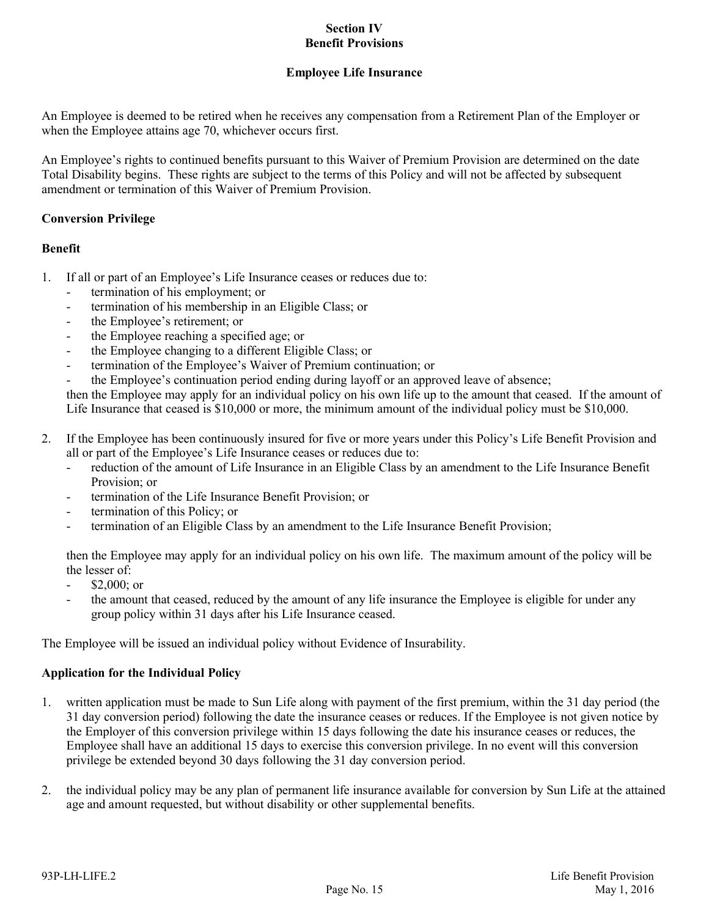# **Employee Life Insurance**

An Employee is deemed to be retired when he receives any compensation from a Retirement Plan of the Employer or when the Employee attains age 70, whichever occurs first.

An Employee's rights to continued benefits pursuant to this Waiver of Premium Provision are determined on the date Total Disability begins. These rights are subject to the terms of this Policy and will not be affected by subsequent amendment or termination of this Waiver of Premium Provision.

# **Conversion Privilege**

# **Benefit**

- 1. If all or part of an Employee's Life Insurance ceases or reduces due to:
	- termination of his employment; or
	- termination of his membership in an Eligible Class; or
	- the Employee's retirement; or
	- the Employee reaching a specified age; or
	- the Employee changing to a different Eligible Class; or
	- termination of the Employee's Waiver of Premium continuation; or
	- the Employee's continuation period ending during layoff or an approved leave of absence;

then the Employee may apply for an individual policy on his own life up to the amount that ceased. If the amount of Life Insurance that ceased is \$10,000 or more, the minimum amount of the individual policy must be \$10,000.

- 2. If the Employee has been continuously insured for five or more years under this Policy's Life Benefit Provision and all or part of the Employee's Life Insurance ceases or reduces due to:
	- reduction of the amount of Life Insurance in an Eligible Class by an amendment to the Life Insurance Benefit Provision; or
	- termination of the Life Insurance Benefit Provision; or
	- termination of this Policy; or
	- termination of an Eligible Class by an amendment to the Life Insurance Benefit Provision;

then the Employee may apply for an individual policy on his own life. The maximum amount of the policy will be the lesser of:

- $$2,000$ ; or
- the amount that ceased, reduced by the amount of any life insurance the Employee is eligible for under any group policy within 31 days after his Life Insurance ceased.

The Employee will be issued an individual policy without Evidence of Insurability.

### **Application for the Individual Policy**

- 1. written application must be made to Sun Life along with payment of the first premium, within the 31 day period (the 31 day conversion period) following the date the insurance ceases or reduces. If the Employee is not given notice by the Employer of this conversion privilege within 15 days following the date his insurance ceases or reduces, the Employee shall have an additional 15 days to exercise this conversion privilege. In no event will this conversion privilege be extended beyond 30 days following the 31 day conversion period.
- 2. the individual policy may be any plan of permanent life insurance available for conversion by Sun Life at the attained age and amount requested, but without disability or other supplemental benefits.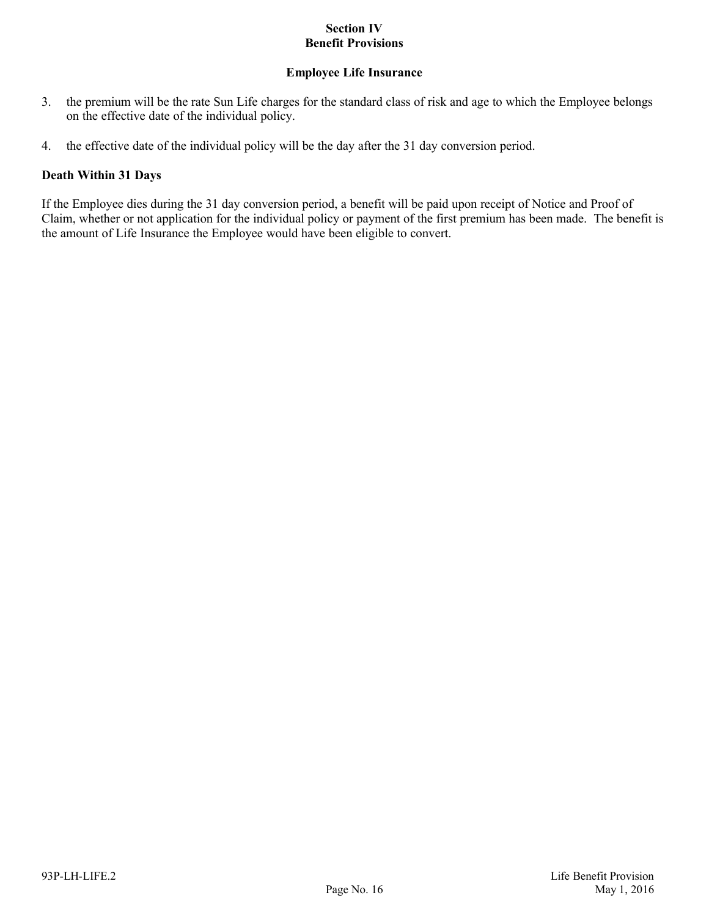# **Employee Life Insurance**

- 3. the premium will be the rate Sun Life charges for the standard class of risk and age to which the Employee belongs on the effective date of the individual policy.
- 4. the effective date of the individual policy will be the day after the 31 day conversion period.

# **Death Within 31 Days**

If the Employee dies during the 31 day conversion period, a benefit will be paid upon receipt of Notice and Proof of Claim, whether or not application for the individual policy or payment of the first premium has been made. The benefit is the amount of Life Insurance the Employee would have been eligible to convert.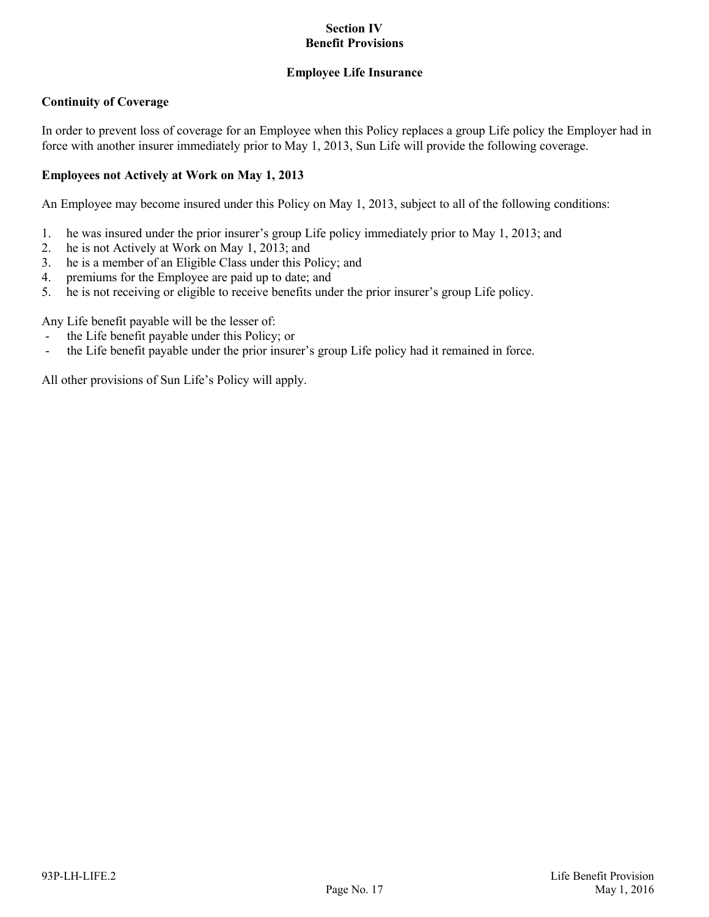# **Employee Life Insurance**

# **Continuity of Coverage**

In order to prevent loss of coverage for an Employee when this Policy replaces a group Life policy the Employer had in force with another insurer immediately prior to May 1, 2013, Sun Life will provide the following coverage.

# **Employees not Actively at Work on May 1, 2013**

An Employee may become insured under this Policy on May 1, 2013, subject to all of the following conditions:

- 1. he was insured under the prior insurer's group Life policy immediately prior to May 1, 2013; and
- 2. he is not Actively at Work on May 1, 2013; and
- 3. he is a member of an Eligible Class under this Policy; and
- 4. premiums for the Employee are paid up to date; and
- 5. he is not receiving or eligible to receive benefits under the prior insurer's group Life policy.

Any Life benefit payable will be the lesser of:

- the Life benefit payable under this Policy; or
- the Life benefit payable under the prior insurer's group Life policy had it remained in force.

All other provisions of Sun Life's Policy will apply.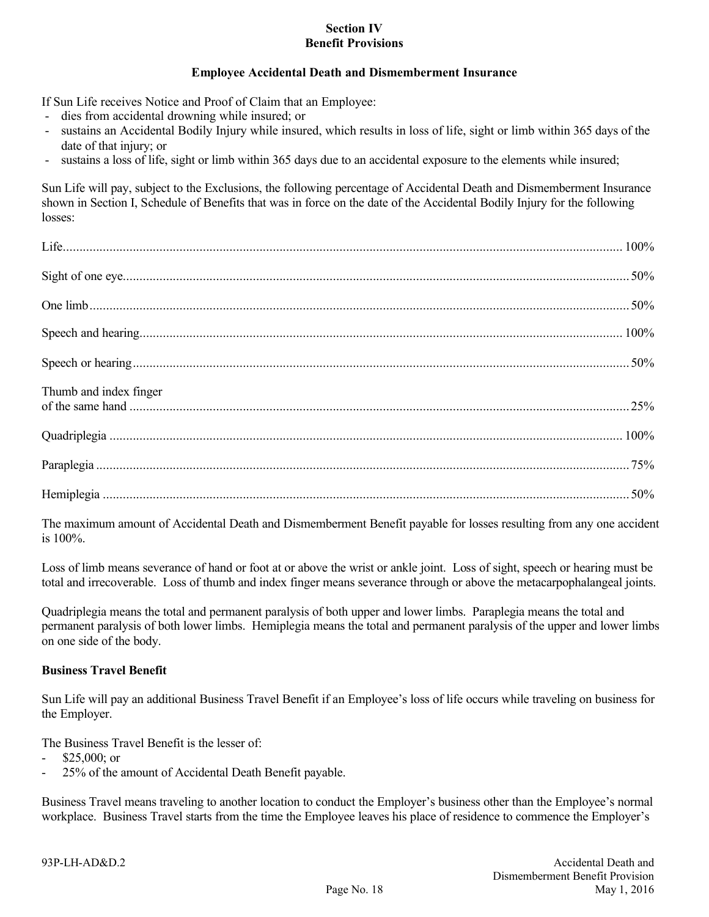# **Employee Accidental Death and Dismemberment Insurance**

If Sun Life receives Notice and Proof of Claim that an Employee:

- dies from accidental drowning while insured; or
- sustains an Accidental Bodily Injury while insured, which results in loss of life, sight or limb within 365 days of the date of that injury; or
- sustains a loss of life, sight or limb within 365 days due to an accidental exposure to the elements while insured;

Sun Life will pay, subject to the Exclusions, the following percentage of Accidental Death and Dismemberment Insurance shown in Section I, Schedule of Benefits that was in force on the date of the Accidental Bodily Injury for the following losses:

| Thumb and index finger |  |
|------------------------|--|
|                        |  |
|                        |  |
|                        |  |

The maximum amount of Accidental Death and Dismemberment Benefit payable for losses resulting from any one accident is 100%.

Loss of limb means severance of hand or foot at or above the wrist or ankle joint. Loss of sight, speech or hearing must be total and irrecoverable. Loss of thumb and index finger means severance through or above the metacarpophalangeal joints.

Quadriplegia means the total and permanent paralysis of both upper and lower limbs. Paraplegia means the total and permanent paralysis of both lower limbs. Hemiplegia means the total and permanent paralysis of the upper and lower limbs on one side of the body.

### **Business Travel Benefit**

Sun Life will pay an additional Business Travel Benefit if an Employee's loss of life occurs while traveling on business for the Employer.

The Business Travel Benefit is the lesser of:

- \$25,000; or
- 25% of the amount of Accidental Death Benefit payable.

Business Travel means traveling to another location to conduct the Employer's business other than the Employee's normal workplace. Business Travel starts from the time the Employee leaves his place of residence to commence the Employer's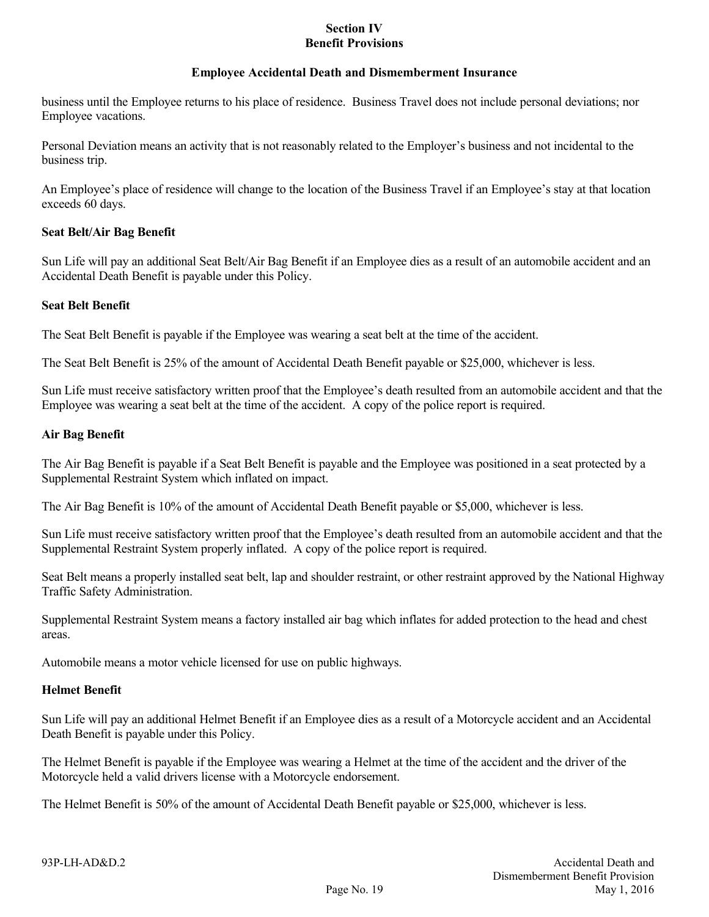## **Employee Accidental Death and Dismemberment Insurance**

business until the Employee returns to his place of residence. Business Travel does not include personal deviations; nor Employee vacations.

Personal Deviation means an activity that is not reasonably related to the Employer's business and not incidental to the business trip.

An Employee's place of residence will change to the location of the Business Travel if an Employee's stay at that location exceeds 60 days.

# **Seat Belt/Air Bag Benefit**

Sun Life will pay an additional Seat Belt/Air Bag Benefit if an Employee dies as a result of an automobile accident and an Accidental Death Benefit is payable under this Policy.

# **Seat Belt Benefit**

The Seat Belt Benefit is payable if the Employee was wearing a seat belt at the time of the accident.

The Seat Belt Benefit is 25% of the amount of Accidental Death Benefit payable or \$25,000, whichever is less.

Sun Life must receive satisfactory written proof that the Employee's death resulted from an automobile accident and that the Employee was wearing a seat belt at the time of the accident. A copy of the police report is required.

# **Air Bag Benefit**

The Air Bag Benefit is payable if a Seat Belt Benefit is payable and the Employee was positioned in a seat protected by a Supplemental Restraint System which inflated on impact.

The Air Bag Benefit is 10% of the amount of Accidental Death Benefit payable or \$5,000, whichever is less.

Sun Life must receive satisfactory written proof that the Employee's death resulted from an automobile accident and that the Supplemental Restraint System properly inflated. A copy of the police report is required.

Seat Belt means a properly installed seat belt, lap and shoulder restraint, or other restraint approved by the National Highway Traffic Safety Administration.

Supplemental Restraint System means a factory installed air bag which inflates for added protection to the head and chest areas.

Automobile means a motor vehicle licensed for use on public highways.

### **Helmet Benefit**

Sun Life will pay an additional Helmet Benefit if an Employee dies as a result of a Motorcycle accident and an Accidental Death Benefit is payable under this Policy.

The Helmet Benefit is payable if the Employee was wearing a Helmet at the time of the accident and the driver of the Motorcycle held a valid drivers license with a Motorcycle endorsement.

The Helmet Benefit is 50% of the amount of Accidental Death Benefit payable or \$25,000, whichever is less.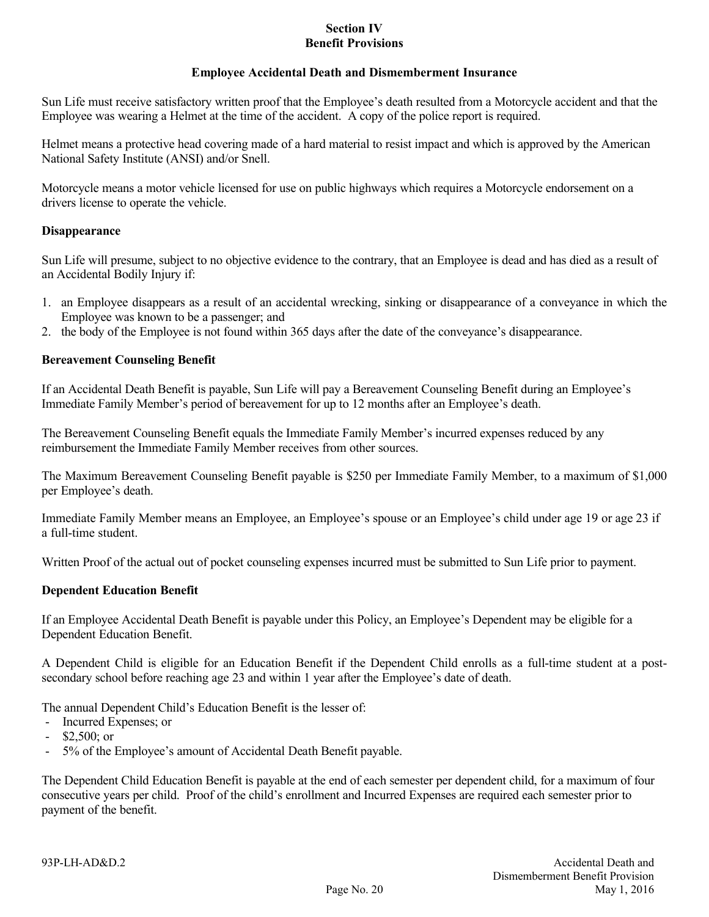# **Employee Accidental Death and Dismemberment Insurance**

Sun Life must receive satisfactory written proof that the Employee's death resulted from a Motorcycle accident and that the Employee was wearing a Helmet at the time of the accident. A copy of the police report is required.

Helmet means a protective head covering made of a hard material to resist impact and which is approved by the American National Safety Institute (ANSI) and/or Snell.

Motorcycle means a motor vehicle licensed for use on public highways which requires a Motorcycle endorsement on a drivers license to operate the vehicle.

## **Disappearance**

Sun Life will presume, subject to no objective evidence to the contrary, that an Employee is dead and has died as a result of an Accidental Bodily Injury if:

- 1. an Employee disappears as a result of an accidental wrecking, sinking or disappearance of a conveyance in which the Employee was known to be a passenger; and
- 2. the body of the Employee is not found within 365 days after the date of the conveyance's disappearance.

# **Bereavement Counseling Benefit**

If an Accidental Death Benefit is payable, Sun Life will pay a Bereavement Counseling Benefit during an Employee's Immediate Family Member's period of bereavement for up to 12 months after an Employee's death.

The Bereavement Counseling Benefit equals the Immediate Family Member's incurred expenses reduced by any reimbursement the Immediate Family Member receives from other sources.

The Maximum Bereavement Counseling Benefit payable is \$250 per Immediate Family Member, to a maximum of \$1,000 per Employee's death.

Immediate Family Member means an Employee, an Employee's spouse or an Employee's child under age 19 or age 23 if a full-time student.

Written Proof of the actual out of pocket counseling expenses incurred must be submitted to Sun Life prior to payment.

### **Dependent Education Benefit**

If an Employee Accidental Death Benefit is payable under this Policy, an Employee's Dependent may be eligible for a Dependent Education Benefit.

A Dependent Child is eligible for an Education Benefit if the Dependent Child enrolls as a full-time student at a postsecondary school before reaching age 23 and within 1 year after the Employee's date of death.

The annual Dependent Child's Education Benefit is the lesser of:

- Incurred Expenses; or
- $$2,500;$  or
- 5% of the Employee's amount of Accidental Death Benefit payable.

The Dependent Child Education Benefit is payable at the end of each semester per dependent child, for a maximum of four consecutive years per child. Proof of the child's enrollment and Incurred Expenses are required each semester prior to payment of the benefit.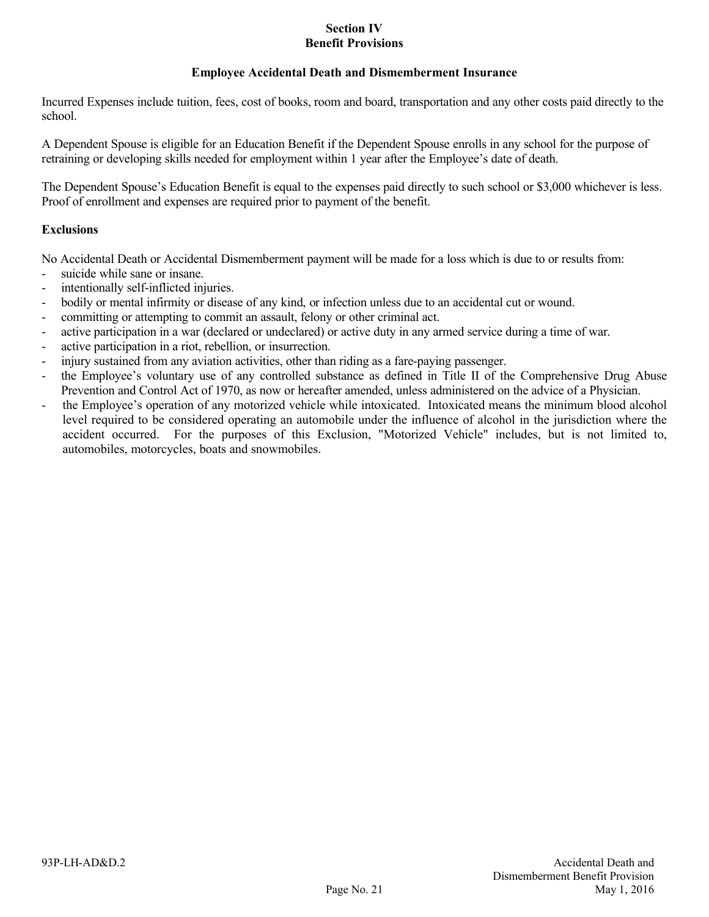# **Employee Accidental Death and Dismemberment Insurance**

Incurred Expenses include tuition, fees, cost of books, room and board, transportation and any other costs paid directly to the school.

A Dependent Spouse is eligible for an Education Benefit if the Dependent Spouse enrolls in any school for the purpose of retraining or developing skills needed for employment within 1 year after the Employee's date of death.

The Dependent Spouse's Education Benefit is equal to the expenses paid directly to such school or \$3,000 whichever is less. Proof of enrollment and expenses are required prior to payment of the benefit.

# **Exclusions**

No Accidental Death or Accidental Dismemberment payment will be made for a loss which is due to or results from:

- suicide while sane or insane.
- intentionally self-inflicted injuries.
- bodily or mental infirmity or disease of any kind, or infection unless due to an accidental cut or wound.
- committing or attempting to commit an assault, felony or other criminal act.
- active participation in a war (declared or undeclared) or active duty in any armed service during a time of war.
- active participation in a riot, rebellion, or insurrection.
- injury sustained from any aviation activities, other than riding as a fare-paying passenger.
- the Employee's voluntary use of any controlled substance as defined in Title II of the Comprehensive Drug Abuse Prevention and Control Act of 1970, as now or hereafter amended, unless administered on the advice of a Physician.
- the Employee's operation of any motorized vehicle while intoxicated. Intoxicated means the minimum blood alcohol level required to be considered operating an automobile under the influence of alcohol in the jurisdiction where the accident occurred. For the purposes of this Exclusion, "Motorized Vehicle" includes, but is not limited to, automobiles, motorcycles, boats and snowmobiles.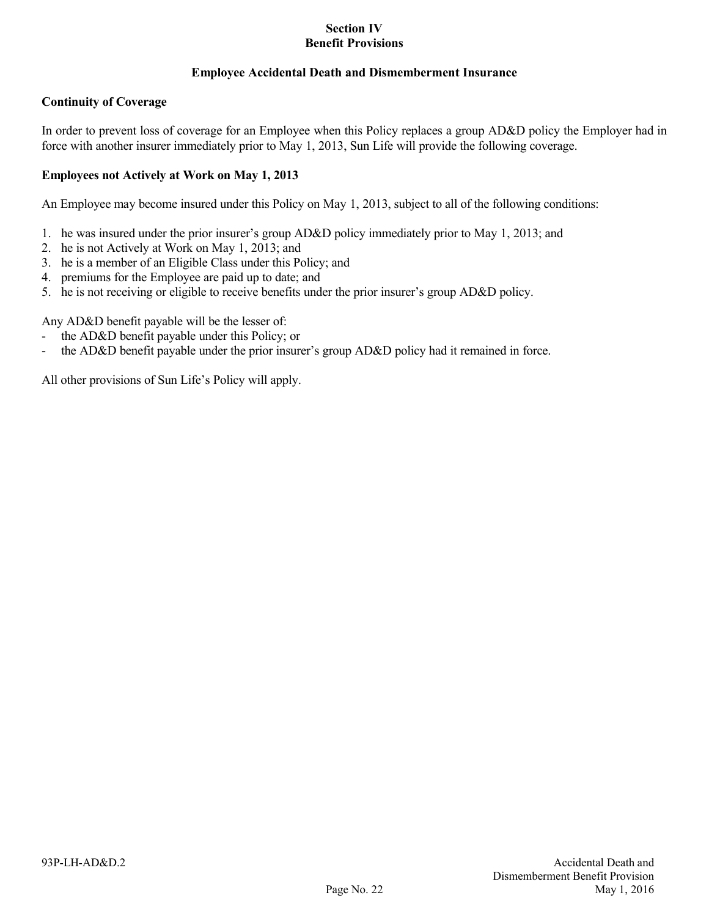# **Employee Accidental Death and Dismemberment Insurance**

# **Continuity of Coverage**

In order to prevent loss of coverage for an Employee when this Policy replaces a group AD&D policy the Employer had in force with another insurer immediately prior to May 1, 2013, Sun Life will provide the following coverage.

# **Employees not Actively at Work on May 1, 2013**

An Employee may become insured under this Policy on May 1, 2013, subject to all of the following conditions:

- 1. he was insured under the prior insurer's group AD&D policy immediately prior to May 1, 2013; and
- 2. he is not Actively at Work on May 1, 2013; and
- 3. he is a member of an Eligible Class under this Policy; and
- 4. premiums for the Employee are paid up to date; and
- 5. he is not receiving or eligible to receive benefits under the prior insurer's group AD&D policy.

Any AD&D benefit payable will be the lesser of:

- the AD&D benefit payable under this Policy; or
- the AD&D benefit payable under the prior insurer's group AD&D policy had it remained in force.

All other provisions of Sun Life's Policy will apply.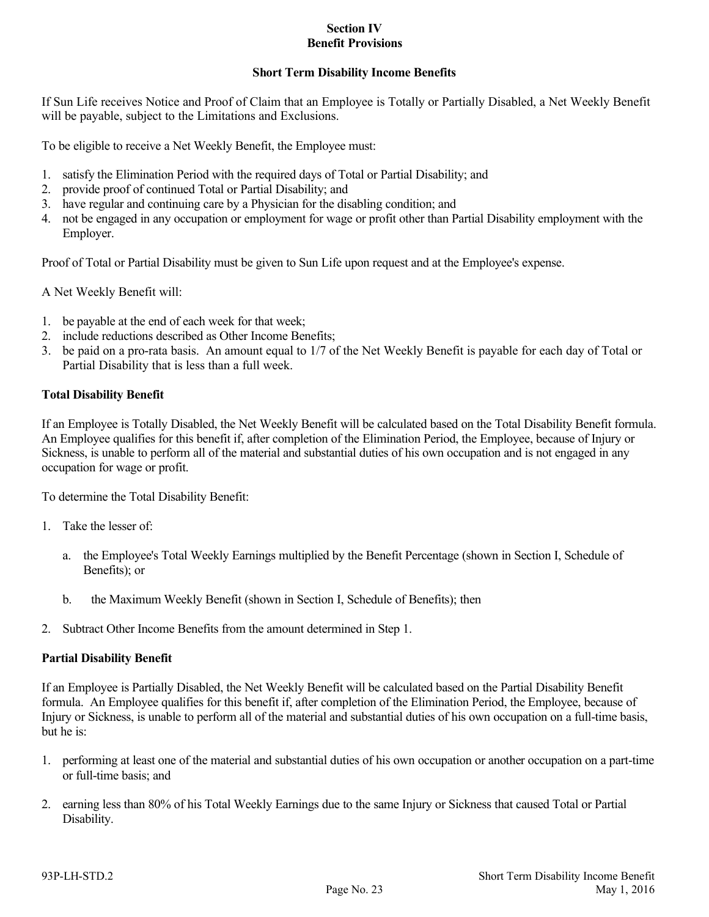# **Short Term Disability Income Benefits**

If Sun Life receives Notice and Proof of Claim that an Employee is Totally or Partially Disabled, a Net Weekly Benefit will be payable, subject to the Limitations and Exclusions.

To be eligible to receive a Net Weekly Benefit, the Employee must:

- 1. satisfy the Elimination Period with the required days of Total or Partial Disability; and
- 2. provide proof of continued Total or Partial Disability; and
- 3. have regular and continuing care by a Physician for the disabling condition; and
- 4. not be engaged in any occupation or employment for wage or profit other than Partial Disability employment with the Employer.

Proof of Total or Partial Disability must be given to Sun Life upon request and at the Employee's expense.

A Net Weekly Benefit will:

- 1. be payable at the end of each week for that week;
- 2. include reductions described as Other Income Benefits;
- 3. be paid on a pro-rata basis. An amount equal to 1/7 of the Net Weekly Benefit is payable for each day of Total or Partial Disability that is less than a full week.

# **Total Disability Benefit**

If an Employee is Totally Disabled, the Net Weekly Benefit will be calculated based on the Total Disability Benefit formula. An Employee qualifies for this benefit if, after completion of the Elimination Period, the Employee, because of Injury or Sickness, is unable to perform all of the material and substantial duties of his own occupation and is not engaged in any occupation for wage or profit.

To determine the Total Disability Benefit:

- 1. Take the lesser of:
	- a. the Employee's Total Weekly Earnings multiplied by the Benefit Percentage (shown in Section I, Schedule of Benefits); or
	- b. the Maximum Weekly Benefit (shown in Section I, Schedule of Benefits); then
- 2. Subtract Other Income Benefits from the amount determined in Step 1.

### **Partial Disability Benefit**

If an Employee is Partially Disabled, the Net Weekly Benefit will be calculated based on the Partial Disability Benefit formula. An Employee qualifies for this benefit if, after completion of the Elimination Period, the Employee, because of Injury or Sickness, is unable to perform all of the material and substantial duties of his own occupation on a full-time basis, but he is:

- 1. performing at least one of the material and substantial duties of his own occupation or another occupation on a part-time or full-time basis; and
- 2. earning less than 80% of his Total Weekly Earnings due to the same Injury or Sickness that caused Total or Partial Disability.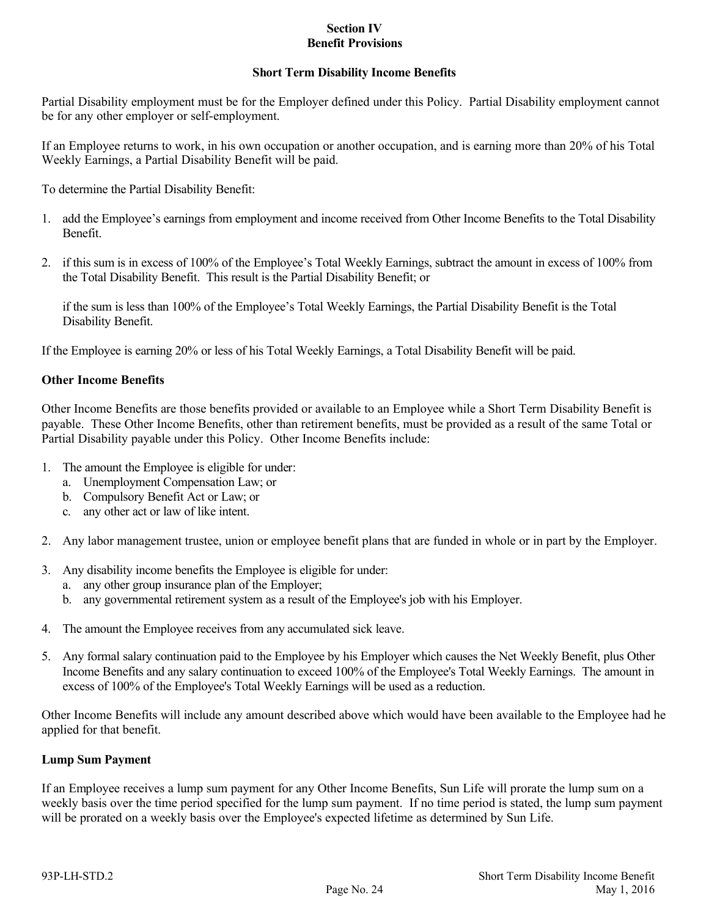### **Short Term Disability Income Benefits**

Partial Disability employment must be for the Employer defined under this Policy. Partial Disability employment cannot be for any other employer or self-employment.

If an Employee returns to work, in his own occupation or another occupation, and is earning more than 20% of his Total Weekly Earnings, a Partial Disability Benefit will be paid.

To determine the Partial Disability Benefit:

- 1. add the Employee's earnings from employment and income received from Other Income Benefits to the Total Disability Benefit.
- 2. if this sum is in excess of 100% of the Employee's Total Weekly Earnings, subtract the amount in excess of 100% from the Total Disability Benefit. This result is the Partial Disability Benefit; or

if the sum is less than 100% of the Employee's Total Weekly Earnings, the Partial Disability Benefit is the Total Disability Benefit.

If the Employee is earning 20% or less of his Total Weekly Earnings, a Total Disability Benefit will be paid.

### **Other Income Benefits**

Other Income Benefits are those benefits provided or available to an Employee while a Short Term Disability Benefit is payable. These Other Income Benefits, other than retirement benefits, must be provided as a result of the same Total or Partial Disability payable under this Policy. Other Income Benefits include:

- 1. The amount the Employee is eligible for under:
	- a. Unemployment Compensation Law; or
	- b. Compulsory Benefit Act or Law; or
	- c. any other act or law of like intent.
- 2. Any labor management trustee, union or employee benefit plans that are funded in whole or in part by the Employer.
- 3. Any disability income benefits the Employee is eligible for under:
	- a. any other group insurance plan of the Employer;
	- b. any governmental retirement system as a result of the Employee's job with his Employer.
- 4. The amount the Employee receives from any accumulated sick leave.
- 5. Any formal salary continuation paid to the Employee by his Employer which causes the Net Weekly Benefit, plus Other Income Benefits and any salary continuation to exceed 100% of the Employee's Total Weekly Earnings. The amount in excess of 100% of the Employee's Total Weekly Earnings will be used as a reduction.

Other Income Benefits will include any amount described above which would have been available to the Employee had he applied for that benefit.

### **Lump Sum Payment**

If an Employee receives a lump sum payment for any Other Income Benefits, Sun Life will prorate the lump sum on a weekly basis over the time period specified for the lump sum payment. If no time period is stated, the lump sum payment will be prorated on a weekly basis over the Employee's expected lifetime as determined by Sun Life.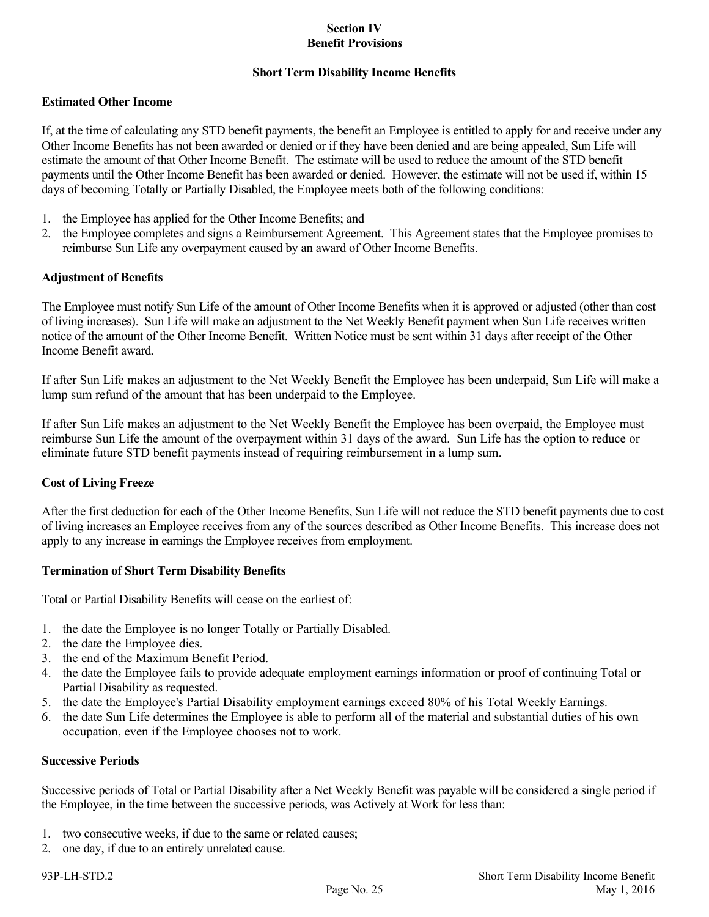# **Short Term Disability Income Benefits**

# **Estimated Other Income**

If, at the time of calculating any STD benefit payments, the benefit an Employee is entitled to apply for and receive under any Other Income Benefits has not been awarded or denied or if they have been denied and are being appealed, Sun Life will estimate the amount of that Other Income Benefit. The estimate will be used to reduce the amount of the STD benefit payments until the Other Income Benefit has been awarded or denied. However, the estimate will not be used if, within 15 days of becoming Totally or Partially Disabled, the Employee meets both of the following conditions:

- 1. the Employee has applied for the Other Income Benefits; and
- 2. the Employee completes and signs a Reimbursement Agreement. This Agreement states that the Employee promises to reimburse Sun Life any overpayment caused by an award of Other Income Benefits.

### **Adjustment of Benefits**

The Employee must notify Sun Life of the amount of Other Income Benefits when it is approved or adjusted (other than cost of living increases). Sun Life will make an adjustment to the Net Weekly Benefit payment when Sun Life receives written notice of the amount of the Other Income Benefit. Written Notice must be sent within 31 days after receipt of the Other Income Benefit award.

If after Sun Life makes an adjustment to the Net Weekly Benefit the Employee has been underpaid, Sun Life will make a lump sum refund of the amount that has been underpaid to the Employee.

If after Sun Life makes an adjustment to the Net Weekly Benefit the Employee has been overpaid, the Employee must reimburse Sun Life the amount of the overpayment within 31 days of the award. Sun Life has the option to reduce or eliminate future STD benefit payments instead of requiring reimbursement in a lump sum.

### **Cost of Living Freeze**

After the first deduction for each of the Other Income Benefits, Sun Life will not reduce the STD benefit payments due to cost of living increases an Employee receives from any of the sources described as Other Income Benefits. This increase does not apply to any increase in earnings the Employee receives from employment.

### **Termination of Short Term Disability Benefits**

Total or Partial Disability Benefits will cease on the earliest of:

- 1. the date the Employee is no longer Totally or Partially Disabled.
- 2. the date the Employee dies.
- 3. the end of the Maximum Benefit Period.
- 4. the date the Employee fails to provide adequate employment earnings information or proof of continuing Total or Partial Disability as requested.
- 5. the date the Employee's Partial Disability employment earnings exceed 80% of his Total Weekly Earnings.
- 6. the date Sun Life determines the Employee is able to perform all of the material and substantial duties of his own occupation, even if the Employee chooses not to work.

# **Successive Periods**

Successive periods of Total or Partial Disability after a Net Weekly Benefit was payable will be considered a single period if the Employee, in the time between the successive periods, was Actively at Work for less than:

- 1. two consecutive weeks, if due to the same or related causes;
- 2. one day, if due to an entirely unrelated cause.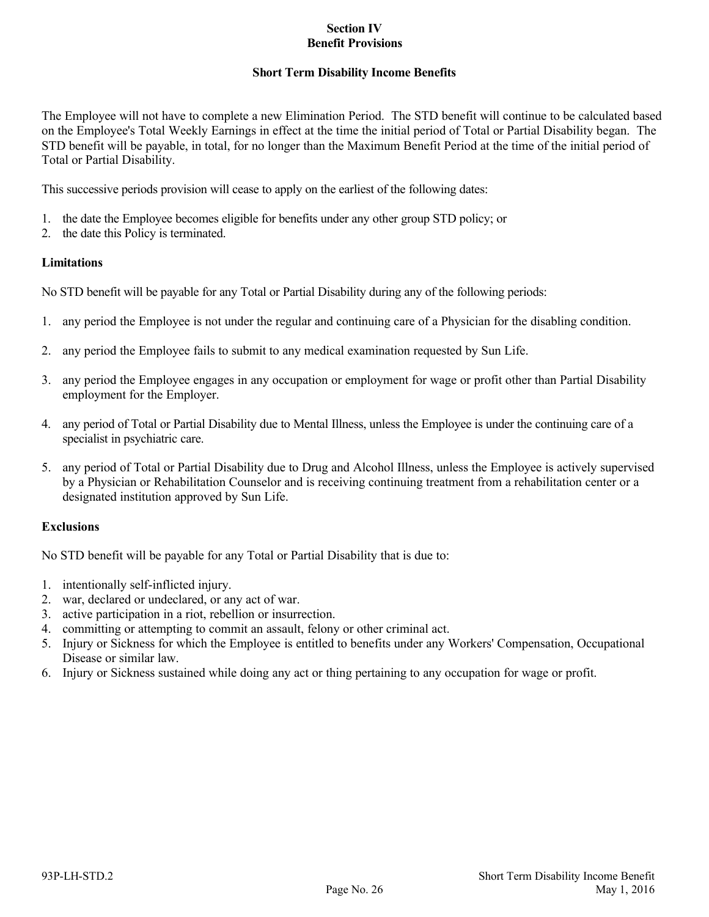# **Short Term Disability Income Benefits**

The Employee will not have to complete a new Elimination Period. The STD benefit will continue to be calculated based on the Employee's Total Weekly Earnings in effect at the time the initial period of Total or Partial Disability began. The STD benefit will be payable, in total, for no longer than the Maximum Benefit Period at the time of the initial period of Total or Partial Disability.

This successive periods provision will cease to apply on the earliest of the following dates:

- 1. the date the Employee becomes eligible for benefits under any other group STD policy; or
- 2. the date this Policy is terminated.

# **Limitations**

No STD benefit will be payable for any Total or Partial Disability during any of the following periods:

- 1. any period the Employee is not under the regular and continuing care of a Physician for the disabling condition.
- 2. any period the Employee fails to submit to any medical examination requested by Sun Life.
- 3. any period the Employee engages in any occupation or employment for wage or profit other than Partial Disability employment for the Employer.
- 4. any period of Total or Partial Disability due to Mental Illness, unless the Employee is under the continuing care of a specialist in psychiatric care.
- 5. any period of Total or Partial Disability due to Drug and Alcohol Illness, unless the Employee is actively supervised by a Physician or Rehabilitation Counselor and is receiving continuing treatment from a rehabilitation center or a designated institution approved by Sun Life.

# **Exclusions**

No STD benefit will be payable for any Total or Partial Disability that is due to:

- 1. intentionally self-inflicted injury.
- 2. war, declared or undeclared, or any act of war.
- 3. active participation in a riot, rebellion or insurrection.
- 4. committing or attempting to commit an assault, felony or other criminal act.
- 5. Injury or Sickness for which the Employee is entitled to benefits under any Workers' Compensation, Occupational Disease or similar law.
- 6. Injury or Sickness sustained while doing any act or thing pertaining to any occupation for wage or profit.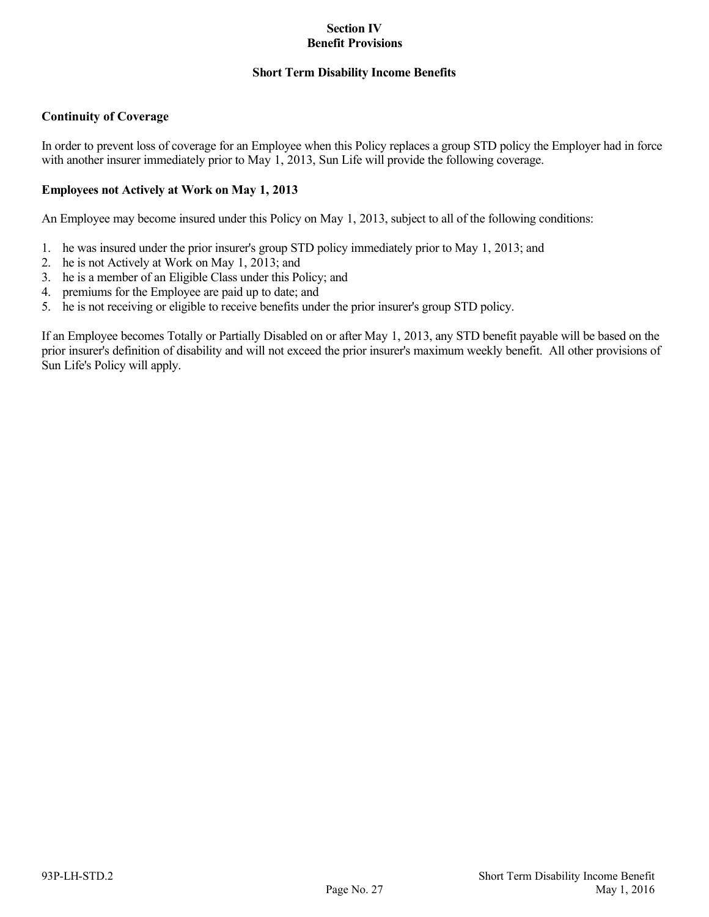## **Short Term Disability Income Benefits**

# **Continuity of Coverage**

In order to prevent loss of coverage for an Employee when this Policy replaces a group STD policy the Employer had in force with another insurer immediately prior to May 1, 2013, Sun Life will provide the following coverage.

# **Employees not Actively at Work on May 1, 2013**

An Employee may become insured under this Policy on May 1, 2013, subject to all of the following conditions:

- 1. he was insured under the prior insurer's group STD policy immediately prior to May 1, 2013; and
- 2. he is not Actively at Work on May 1, 2013; and
- 3. he is a member of an Eligible Class under this Policy; and
- 4. premiums for the Employee are paid up to date; and
- 5. he is not receiving or eligible to receive benefits under the prior insurer's group STD policy.

If an Employee becomes Totally or Partially Disabled on or after May 1, 2013, any STD benefit payable will be based on the prior insurer's definition of disability and will not exceed the prior insurer's maximum weekly benefit. All other provisions of Sun Life's Policy will apply.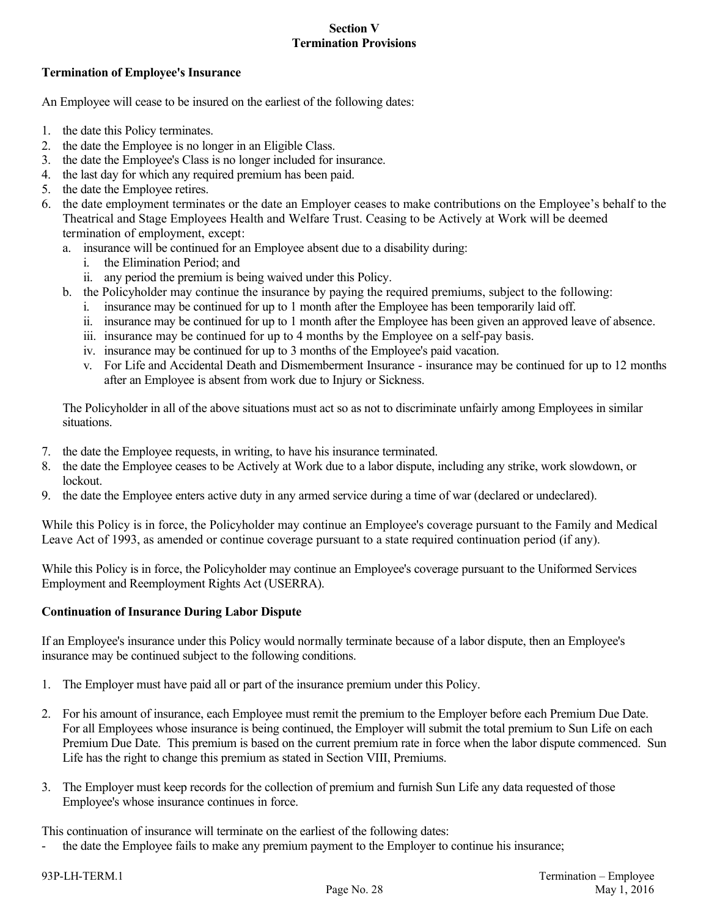## **Termination of Employee's Insurance**

An Employee will cease to be insured on the earliest of the following dates:

- 1. the date this Policy terminates.
- 2. the date the Employee is no longer in an Eligible Class.
- 3. the date the Employee's Class is no longer included for insurance.
- 4. the last day for which any required premium has been paid.
- 5. the date the Employee retires.
- 6. the date employment terminates or the date an Employer ceases to make contributions on the Employee's behalf to the Theatrical and Stage Employees Health and Welfare Trust. Ceasing to be Actively at Work will be deemed termination of employment, except:
	- a. insurance will be continued for an Employee absent due to a disability during:
		- i. the Elimination Period; and
		- ii. any period the premium is being waived under this Policy.
	- b. the Policyholder may continue the insurance by paying the required premiums, subject to the following:
		- i. insurance may be continued for up to 1 month after the Employee has been temporarily laid off.
		- ii. insurance may be continued for up to 1 month after the Employee has been given an approved leave of absence.
		- iii. insurance may be continued for up to 4 months by the Employee on a self-pay basis.
		- iv. insurance may be continued for up to 3 months of the Employee's paid vacation.
		- v. For Life and Accidental Death and Dismemberment Insurance insurance may be continued for up to 12 months after an Employee is absent from work due to Injury or Sickness.

The Policyholder in all of the above situations must act so as not to discriminate unfairly among Employees in similar situations.

- 7. the date the Employee requests, in writing, to have his insurance terminated.
- 8. the date the Employee ceases to be Actively at Work due to a labor dispute, including any strike, work slowdown, or lockout.
- 9. the date the Employee enters active duty in any armed service during a time of war (declared or undeclared).

While this Policy is in force, the Policyholder may continue an Employee's coverage pursuant to the Family and Medical Leave Act of 1993, as amended or continue coverage pursuant to a state required continuation period (if any).

While this Policy is in force, the Policyholder may continue an Employee's coverage pursuant to the Uniformed Services Employment and Reemployment Rights Act (USERRA).

### **Continuation of Insurance During Labor Dispute**

If an Employee's insurance under this Policy would normally terminate because of a labor dispute, then an Employee's insurance may be continued subject to the following conditions.

- 1. The Employer must have paid all or part of the insurance premium under this Policy.
- 2. For his amount of insurance, each Employee must remit the premium to the Employer before each Premium Due Date. For all Employees whose insurance is being continued, the Employer will submit the total premium to Sun Life on each Premium Due Date. This premium is based on the current premium rate in force when the labor dispute commenced. Sun Life has the right to change this premium as stated in Section VIII, Premiums.
- 3. The Employer must keep records for the collection of premium and furnish Sun Life any data requested of those Employee's whose insurance continues in force.

This continuation of insurance will terminate on the earliest of the following dates:

the date the Employee fails to make any premium payment to the Employer to continue his insurance;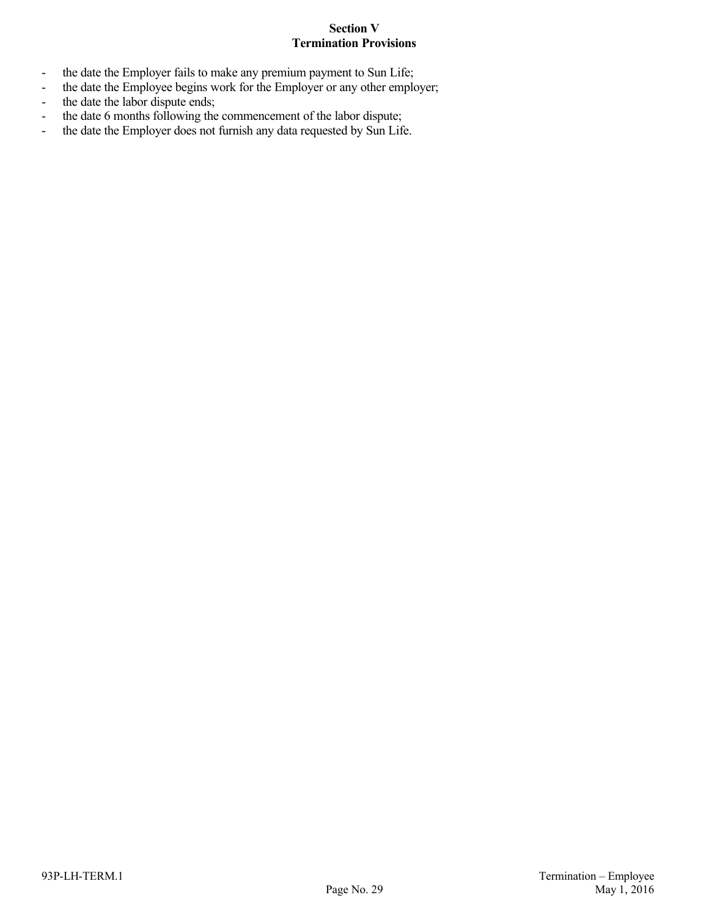- the date the Employer fails to make any premium payment to Sun Life;
- the date the Employee begins work for the Employer or any other employer;
- the date the labor dispute ends;
- the date 6 months following the commencement of the labor dispute;
- the date the Employer does not furnish any data requested by Sun Life.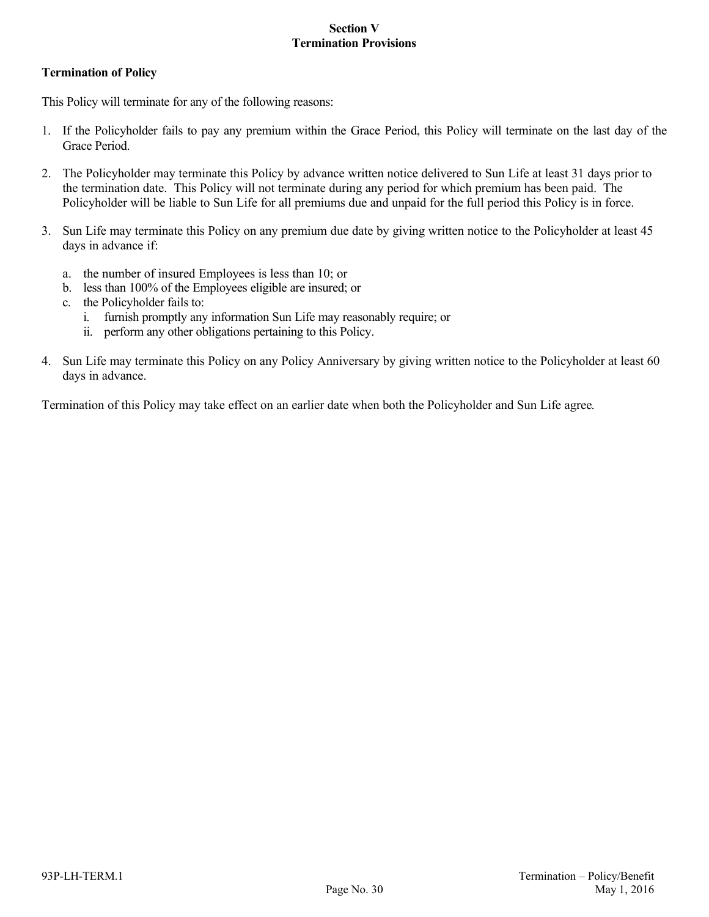# **Termination of Policy**

This Policy will terminate for any of the following reasons:

- 1. If the Policyholder fails to pay any premium within the Grace Period, this Policy will terminate on the last day of the Grace Period.
- 2. The Policyholder may terminate this Policy by advance written notice delivered to Sun Life at least 31 days prior to the termination date. This Policy will not terminate during any period for which premium has been paid. The Policyholder will be liable to Sun Life for all premiums due and unpaid for the full period this Policy is in force.
- 3. Sun Life may terminate this Policy on any premium due date by giving written notice to the Policyholder at least 45 days in advance if:
	- a. the number of insured Employees is less than 10; or
	- b. less than 100% of the Employees eligible are insured; or
	- c. the Policyholder fails to:
		- i. furnish promptly any information Sun Life may reasonably require; or
		- ii. perform any other obligations pertaining to this Policy.
- 4. Sun Life may terminate this Policy on any Policy Anniversary by giving written notice to the Policyholder at least 60 days in advance.

Termination of this Policy may take effect on an earlier date when both the Policyholder and Sun Life agree.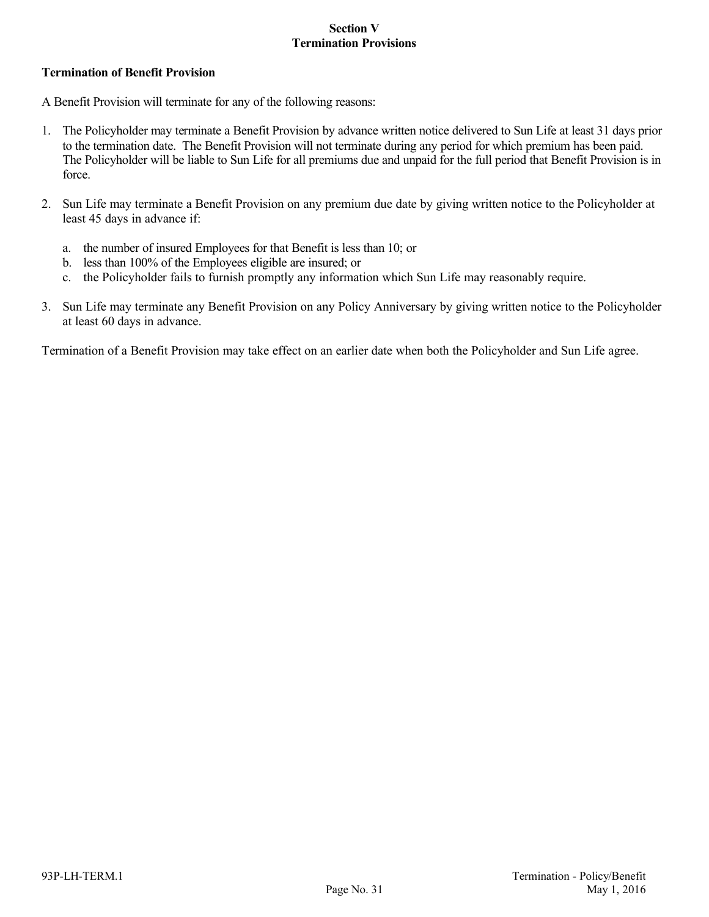## **Termination of Benefit Provision**

A Benefit Provision will terminate for any of the following reasons:

- 1. The Policyholder may terminate a Benefit Provision by advance written notice delivered to Sun Life at least 31 days prior to the termination date. The Benefit Provision will not terminate during any period for which premium has been paid. The Policyholder will be liable to Sun Life for all premiums due and unpaid for the full period that Benefit Provision is in force.
- 2. Sun Life may terminate a Benefit Provision on any premium due date by giving written notice to the Policyholder at least 45 days in advance if:
	- a. the number of insured Employees for that Benefit is less than 10; or
	- b. less than 100% of the Employees eligible are insured; or
	- c. the Policyholder fails to furnish promptly any information which Sun Life may reasonably require.
- 3. Sun Life may terminate any Benefit Provision on any Policy Anniversary by giving written notice to the Policyholder at least 60 days in advance.

Termination of a Benefit Provision may take effect on an earlier date when both the Policyholder and Sun Life agree.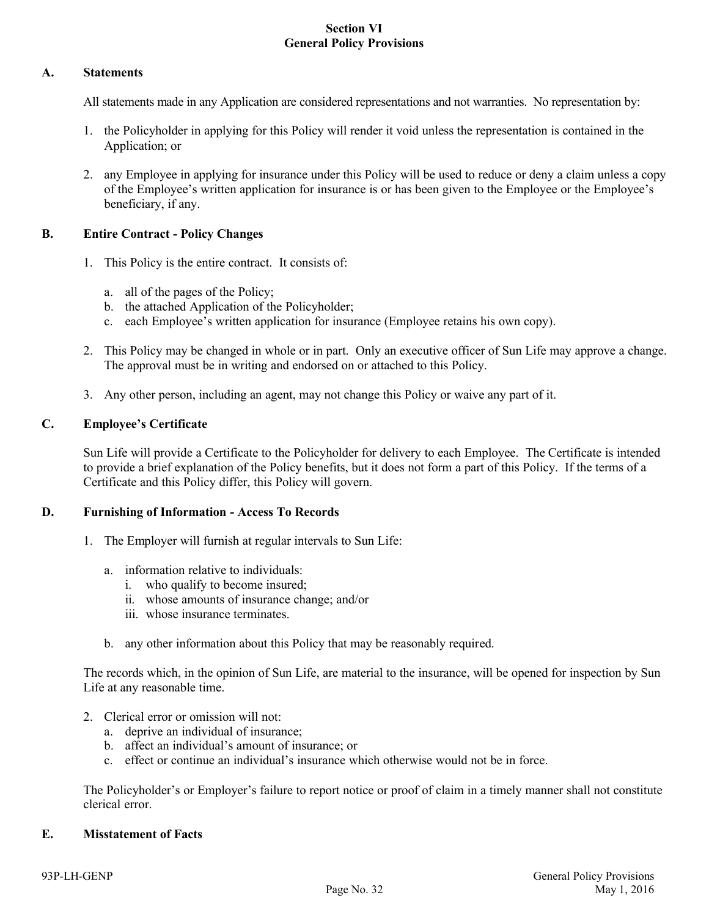# **Section VI General Policy Provisions**

## **A. Statements**

All statements made in any Application are considered representations and not warranties. No representation by:

- 1. the Policyholder in applying for this Policy will render it void unless the representation is contained in the Application; or
- 2. any Employee in applying for insurance under this Policy will be used to reduce or deny a claim unless a copy of the Employee's written application for insurance is or has been given to the Employee or the Employee's beneficiary, if any.

### **B. Entire Contract - Policy Changes**

- 1. This Policy is the entire contract. It consists of:
	- a. all of the pages of the Policy;
	- b. the attached Application of the Policyholder;
	- c. each Employee's written application for insurance (Employee retains his own copy).
- 2. This Policy may be changed in whole or in part. Only an executive officer of Sun Life may approve a change. The approval must be in writing and endorsed on or attached to this Policy.
- 3. Any other person, including an agent, may not change this Policy or waive any part of it.

# **C. Employee's Certificate**

Sun Life will provide a Certificate to the Policyholder for delivery to each Employee. The Certificate is intended to provide a brief explanation of the Policy benefits, but it does not form a part of this Policy. If the terms of a Certificate and this Policy differ, this Policy will govern.

### **D. Furnishing of Information - Access To Records**

- 1. The Employer will furnish at regular intervals to Sun Life:
	- a. information relative to individuals:
		- i. who qualify to become insured;
		- ii. whose amounts of insurance change; and/or
		- iii. whose insurance terminates.
	- b. any other information about this Policy that may be reasonably required.

The records which, in the opinion of Sun Life, are material to the insurance, will be opened for inspection by Sun Life at any reasonable time.

- 2. Clerical error or omission will not:
	- a. deprive an individual of insurance;
	- b. affect an individual's amount of insurance; or
	- c. effect or continue an individual's insurance which otherwise would not be in force.

The Policyholder's or Employer's failure to report notice or proof of claim in a timely manner shall not constitute clerical error.

# **E. Misstatement of Facts**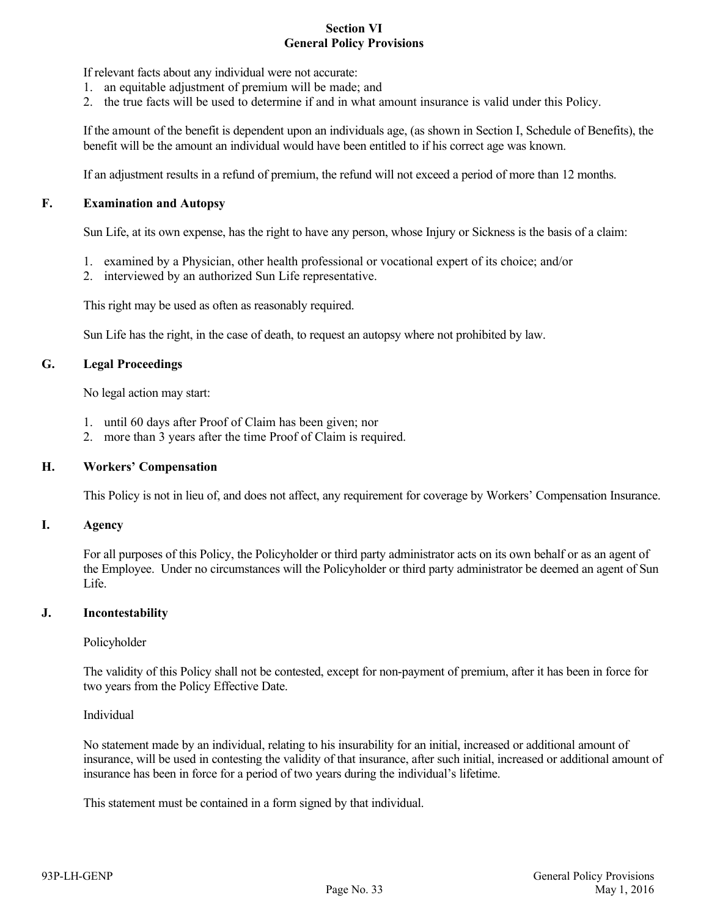#### **Section VI General Policy Provisions**

If relevant facts about any individual were not accurate:

- 1. an equitable adjustment of premium will be made; and
- 2. the true facts will be used to determine if and in what amount insurance is valid under this Policy.

If the amount of the benefit is dependent upon an individuals age, (as shown in Section I, Schedule of Benefits), the benefit will be the amount an individual would have been entitled to if his correct age was known.

If an adjustment results in a refund of premium, the refund will not exceed a period of more than 12 months.

# **F. Examination and Autopsy**

Sun Life, at its own expense, has the right to have any person, whose Injury or Sickness is the basis of a claim:

- 1. examined by a Physician, other health professional or vocational expert of its choice; and/or
- 2. interviewed by an authorized Sun Life representative.

This right may be used as often as reasonably required.

Sun Life has the right, in the case of death, to request an autopsy where not prohibited by law.

### **G. Legal Proceedings**

No legal action may start:

- 1. until 60 days after Proof of Claim has been given; nor
- 2. more than 3 years after the time Proof of Claim is required.

### **H. Workers' Compensation**

This Policy is not in lieu of, and does not affect, any requirement for coverage by Workers' Compensation Insurance.

### **I. Agency**

For all purposes of this Policy, the Policyholder or third party administrator acts on its own behalf or as an agent of the Employee. Under no circumstances will the Policyholder or third party administrator be deemed an agent of Sun Life.

### **J. Incontestability**

### Policyholder

The validity of this Policy shall not be contested, except for non-payment of premium, after it has been in force for two years from the Policy Effective Date.

### Individual

No statement made by an individual, relating to his insurability for an initial, increased or additional amount of insurance, will be used in contesting the validity of that insurance, after such initial, increased or additional amount of insurance has been in force for a period of two years during the individual's lifetime.

This statement must be contained in a form signed by that individual.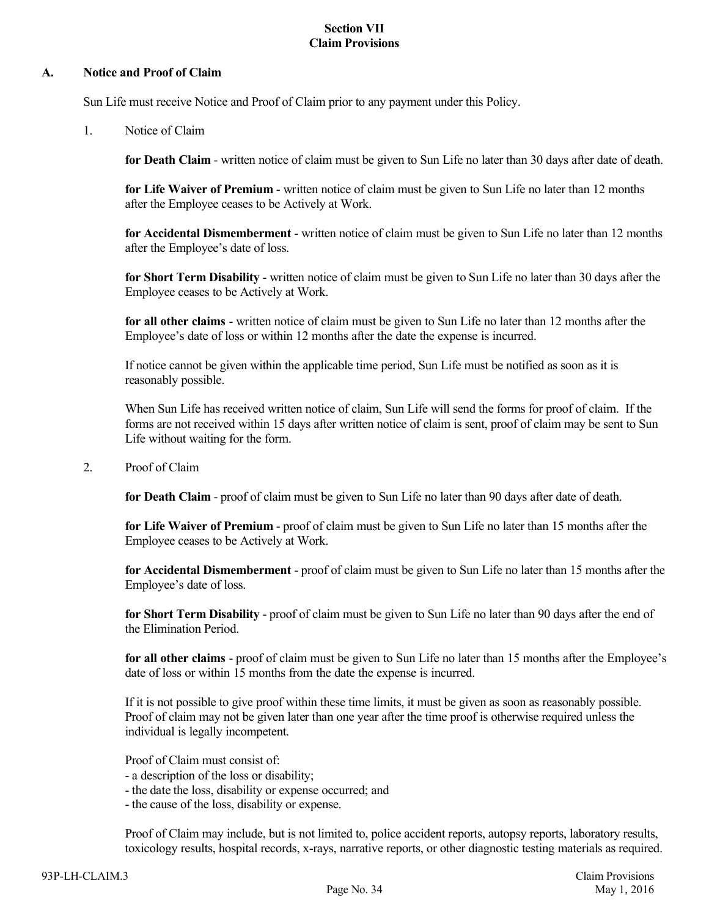# **Section VII Claim Provisions**

#### **A. Notice and Proof of Claim**

Sun Life must receive Notice and Proof of Claim prior to any payment under this Policy.

1. Notice of Claim

**for Death Claim** - written notice of claim must be given to Sun Life no later than 30 days after date of death.

**for Life Waiver of Premium** - written notice of claim must be given to Sun Life no later than 12 months after the Employee ceases to be Actively at Work.

**for Accidental Dismemberment** - written notice of claim must be given to Sun Life no later than 12 months after the Employee's date of loss.

**for Short Term Disability** - written notice of claim must be given to Sun Life no later than 30 days after the Employee ceases to be Actively at Work.

**for all other claims** - written notice of claim must be given to Sun Life no later than 12 months after the Employee's date of loss or within 12 months after the date the expense is incurred.

If notice cannot be given within the applicable time period, Sun Life must be notified as soon as it is reasonably possible.

When Sun Life has received written notice of claim, Sun Life will send the forms for proof of claim. If the forms are not received within 15 days after written notice of claim is sent, proof of claim may be sent to Sun Life without waiting for the form.

2. Proof of Claim

**for Death Claim** - proof of claim must be given to Sun Life no later than 90 days after date of death.

**for Life Waiver of Premium** - proof of claim must be given to Sun Life no later than 15 months after the Employee ceases to be Actively at Work.

**for Accidental Dismemberment** - proof of claim must be given to Sun Life no later than 15 months after the Employee's date of loss.

**for Short Term Disability** - proof of claim must be given to Sun Life no later than 90 days after the end of the Elimination Period.

**for all other claims** - proof of claim must be given to Sun Life no later than 15 months after the Employee's date of loss or within 15 months from the date the expense is incurred.

If it is not possible to give proof within these time limits, it must be given as soon as reasonably possible. Proof of claim may not be given later than one year after the time proof is otherwise required unless the individual is legally incompetent.

Proof of Claim must consist of:

- a description of the loss or disability;
- the date the loss, disability or expense occurred; and
- the cause of the loss, disability or expense.

Proof of Claim may include, but is not limited to, police accident reports, autopsy reports, laboratory results, toxicology results, hospital records, x-rays, narrative reports, or other diagnostic testing materials as required.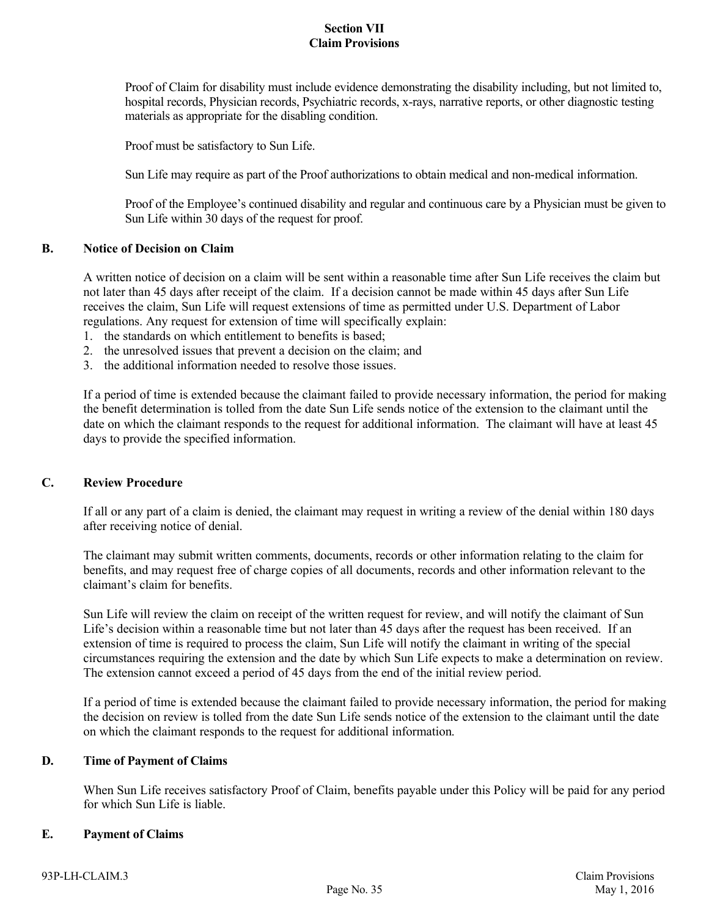# **Section VII Claim Provisions**

Proof of Claim for disability must include evidence demonstrating the disability including, but not limited to, hospital records, Physician records, Psychiatric records, x-rays, narrative reports, or other diagnostic testing materials as appropriate for the disabling condition.

Proof must be satisfactory to Sun Life.

Sun Life may require as part of the Proof authorizations to obtain medical and non-medical information.

Proof of the Employee's continued disability and regular and continuous care by a Physician must be given to Sun Life within 30 days of the request for proof.

#### **B. Notice of Decision on Claim**

A written notice of decision on a claim will be sent within a reasonable time after Sun Life receives the claim but not later than 45 days after receipt of the claim. If a decision cannot be made within 45 days after Sun Life receives the claim, Sun Life will request extensions of time as permitted under U.S. Department of Labor regulations. Any request for extension of time will specifically explain:

- 1. the standards on which entitlement to benefits is based;
- 2. the unresolved issues that prevent a decision on the claim; and
- 3. the additional information needed to resolve those issues.

If a period of time is extended because the claimant failed to provide necessary information, the period for making the benefit determination is tolled from the date Sun Life sends notice of the extension to the claimant until the date on which the claimant responds to the request for additional information. The claimant will have at least 45 days to provide the specified information.

#### **C. Review Procedure**

If all or any part of a claim is denied, the claimant may request in writing a review of the denial within 180 days after receiving notice of denial.

The claimant may submit written comments, documents, records or other information relating to the claim for benefits, and may request free of charge copies of all documents, records and other information relevant to the claimant's claim for benefits.

Sun Life will review the claim on receipt of the written request for review, and will notify the claimant of Sun Life's decision within a reasonable time but not later than 45 days after the request has been received. If an extension of time is required to process the claim, Sun Life will notify the claimant in writing of the special circumstances requiring the extension and the date by which Sun Life expects to make a determination on review. The extension cannot exceed a period of 45 days from the end of the initial review period.

If a period of time is extended because the claimant failed to provide necessary information, the period for making the decision on review is tolled from the date Sun Life sends notice of the extension to the claimant until the date on which the claimant responds to the request for additional information.

#### **D. Time of Payment of Claims**

When Sun Life receives satisfactory Proof of Claim, benefits payable under this Policy will be paid for any period for which Sun Life is liable.

#### **E. Payment of Claims**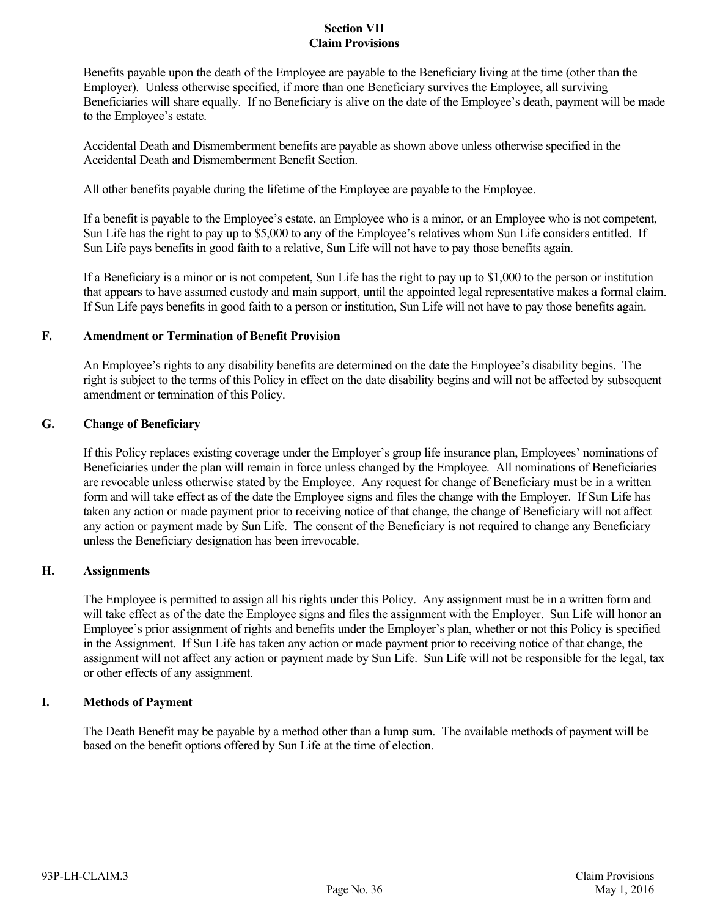# **Section VII Claim Provisions**

Benefits payable upon the death of the Employee are payable to the Beneficiary living at the time (other than the Employer). Unless otherwise specified, if more than one Beneficiary survives the Employee, all surviving Beneficiaries will share equally. If no Beneficiary is alive on the date of the Employee's death, payment will be made to the Employee's estate.

Accidental Death and Dismemberment benefits are payable as shown above unless otherwise specified in the Accidental Death and Dismemberment Benefit Section.

All other benefits payable during the lifetime of the Employee are payable to the Employee.

If a benefit is payable to the Employee's estate, an Employee who is a minor, or an Employee who is not competent, Sun Life has the right to pay up to \$5,000 to any of the Employee's relatives whom Sun Life considers entitled. If Sun Life pays benefits in good faith to a relative, Sun Life will not have to pay those benefits again.

If a Beneficiary is a minor or is not competent, Sun Life has the right to pay up to \$1,000 to the person or institution that appears to have assumed custody and main support, until the appointed legal representative makes a formal claim. If Sun Life pays benefits in good faith to a person or institution, Sun Life will not have to pay those benefits again.

### **F. Amendment or Termination of Benefit Provision**

An Employee's rights to any disability benefits are determined on the date the Employee's disability begins. The right is subject to the terms of this Policy in effect on the date disability begins and will not be affected by subsequent amendment or termination of this Policy.

# **G. Change of Beneficiary**

If this Policy replaces existing coverage under the Employer's group life insurance plan, Employees' nominations of Beneficiaries under the plan will remain in force unless changed by the Employee. All nominations of Beneficiaries are revocable unless otherwise stated by the Employee. Any request for change of Beneficiary must be in a written form and will take effect as of the date the Employee signs and files the change with the Employer. If Sun Life has taken any action or made payment prior to receiving notice of that change, the change of Beneficiary will not affect any action or payment made by Sun Life. The consent of the Beneficiary is not required to change any Beneficiary unless the Beneficiary designation has been irrevocable.

### **H. Assignments**

The Employee is permitted to assign all his rights under this Policy. Any assignment must be in a written form and will take effect as of the date the Employee signs and files the assignment with the Employer. Sun Life will honor an Employee's prior assignment of rights and benefits under the Employer's plan, whether or not this Policy is specified in the Assignment. If Sun Life has taken any action or made payment prior to receiving notice of that change, the assignment will not affect any action or payment made by Sun Life. Sun Life will not be responsible for the legal, tax or other effects of any assignment.

### **I. Methods of Payment**

The Death Benefit may be payable by a method other than a lump sum. The available methods of payment will be based on the benefit options offered by Sun Life at the time of election.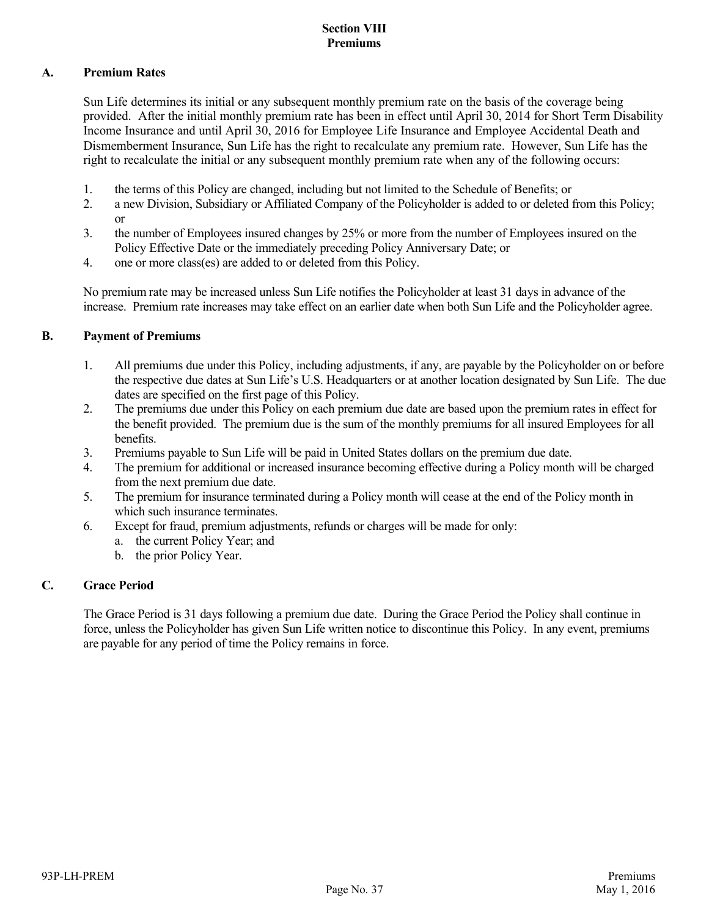# **Section VIII Premiums**

# **A. Premium Rates**

Sun Life determines its initial or any subsequent monthly premium rate on the basis of the coverage being provided. After the initial monthly premium rate has been in effect until April 30, 2014 for Short Term Disability Income Insurance and until April 30, 2016 for Employee Life Insurance and Employee Accidental Death and Dismemberment Insurance, Sun Life has the right to recalculate any premium rate. However, Sun Life has the right to recalculate the initial or any subsequent monthly premium rate when any of the following occurs:

- 1. the terms of this Policy are changed, including but not limited to the Schedule of Benefits; or
- 2. a new Division, Subsidiary or Affiliated Company of the Policyholder is added to or deleted from this Policy; or
- 3. the number of Employees insured changes by 25% or more from the number of Employees insured on the Policy Effective Date or the immediately preceding Policy Anniversary Date; or
- 4. one or more class(es) are added to or deleted from this Policy.

No premium rate may be increased unless Sun Life notifies the Policyholder at least 31 days in advance of the increase. Premium rate increases may take effect on an earlier date when both Sun Life and the Policyholder agree.

# **B. Payment of Premiums**

- 1. All premiums due under this Policy, including adjustments, if any, are payable by the Policyholder on or before the respective due dates at Sun Life's U.S. Headquarters or at another location designated by Sun Life. The due dates are specified on the first page of this Policy.
- 2. The premiums due under this Policy on each premium due date are based upon the premium rates in effect for the benefit provided. The premium due is the sum of the monthly premiums for all insured Employees for all benefits.
- 3. Premiums payable to Sun Life will be paid in United States dollars on the premium due date.
- 4. The premium for additional or increased insurance becoming effective during a Policy month will be charged from the next premium due date.
- 5. The premium for insurance terminated during a Policy month will cease at the end of the Policy month in which such insurance terminates.
- 6. Except for fraud, premium adjustments, refunds or charges will be made for only:
	- a. the current Policy Year; and
	- b. the prior Policy Year.

# **C. Grace Period**

The Grace Period is 31 days following a premium due date. During the Grace Period the Policy shall continue in force, unless the Policyholder has given Sun Life written notice to discontinue this Policy. In any event, premiums are payable for any period of time the Policy remains in force.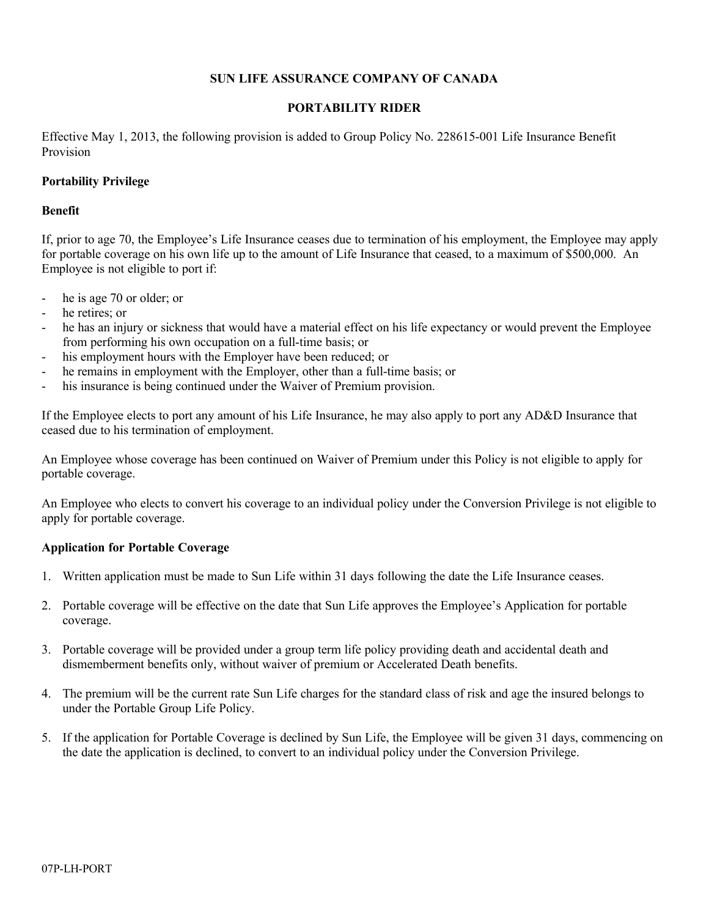# **SUN LIFE ASSURANCE COMPANY OF CANADA**

# **PORTABILITY RIDER**

Effective May 1, 2013, the following provision is added to Group Policy No. 228615-001 Life Insurance Benefit Provision

# **Portability Privilege**

### **Benefit**

If, prior to age 70, the Employee's Life Insurance ceases due to termination of his employment, the Employee may apply for portable coverage on his own life up to the amount of Life Insurance that ceased, to a maximum of \$500,000. An Employee is not eligible to port if:

- he is age 70 or older; or
- he retires; or
- he has an injury or sickness that would have a material effect on his life expectancy or would prevent the Employee from performing his own occupation on a full-time basis; or
- his employment hours with the Employer have been reduced; or
- he remains in employment with the Employer, other than a full-time basis; or
- his insurance is being continued under the Waiver of Premium provision.

If the Employee elects to port any amount of his Life Insurance, he may also apply to port any AD&D Insurance that ceased due to his termination of employment.

An Employee whose coverage has been continued on Waiver of Premium under this Policy is not eligible to apply for portable coverage.

An Employee who elects to convert his coverage to an individual policy under the Conversion Privilege is not eligible to apply for portable coverage.

### **Application for Portable Coverage**

- 1. Written application must be made to Sun Life within 31 days following the date the Life Insurance ceases.
- 2. Portable coverage will be effective on the date that Sun Life approves the Employee's Application for portable coverage.
- 3. Portable coverage will be provided under a group term life policy providing death and accidental death and dismemberment benefits only, without waiver of premium or Accelerated Death benefits.
- 4. The premium will be the current rate Sun Life charges for the standard class of risk and age the insured belongs to under the Portable Group Life Policy.
- 5. If the application for Portable Coverage is declined by Sun Life, the Employee will be given 31 days, commencing on the date the application is declined, to convert to an individual policy under the Conversion Privilege.